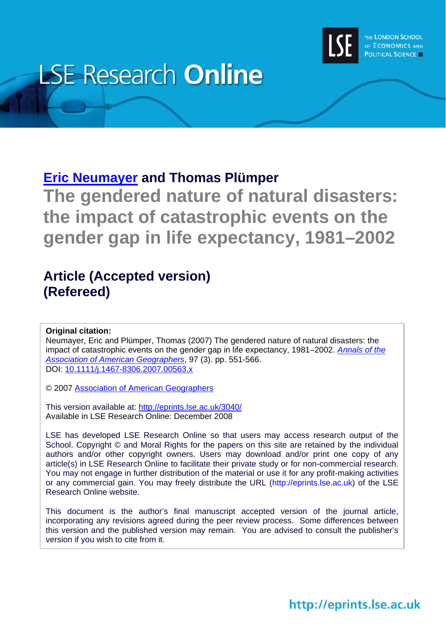

# **LSE Research Online**

### **[Eric Neumayer](http://www.lse.ac.uk/people/e.neumayer@lse.ac.uk/) and Thomas Plümper**

**The gendered nature of natural disasters: the impact of catastrophic events on the gender gap in life expectancy, 1981–2002** 

## **Article (Accepted version) (Refereed)**

#### **Original citation:**

Neumayer, Eric and Plümper, Thomas (2007) The gendered nature of natural disasters: the impact of catastrophic events on the gender gap in life expectancy, 1981–2002. *[Annals of the](http://www.aag.org/Publications/annalsweb1.html)  [Association of American Geographers](http://www.aag.org/Publications/annalsweb1.html)*, 97 (3). pp. 551-566. DOI: [10.1111/j.1467-8306.2007.00563.x](http://dx.doi.org/10.1111/j.1467-8306.2007.00563.x)

© 2007 [Association of American Geographers](http://www.aag.org/)

This version available at:<http://eprints.lse.ac.uk/3040/> Available in LSE Research Online: December 2008

LSE has developed LSE Research Online so that users may access research output of the School. Copyright © and Moral Rights for the papers on this site are retained by the individual authors and/or other copyright owners. Users may download and/or print one copy of any article(s) in LSE Research Online to facilitate their private study or for non-commercial research. You may not engage in further distribution of the material or use it for any profit-making activities or any commercial gain. You may freely distribute the URL (http://eprints.lse.ac.uk) of the LSE Research Online website.

This document is the author's final manuscript accepted version of the journal article, incorporating any revisions agreed during the peer review process. Some differences between this version and the published version may remain. You are advised to consult the publisher's version if you wish to cite from it.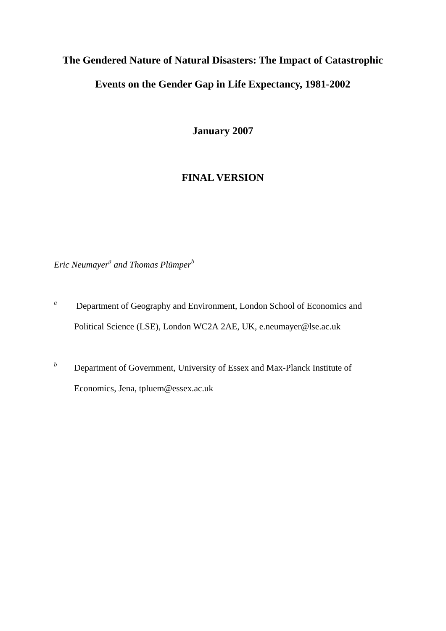# **The Gendered Nature of Natural Disasters: The Impact of Catastrophic Events on the Gender Gap in Life Expectancy, 1981-2002**

**January 2007** 

#### **FINAL VERSION**

*Eric Neumayer<sup>a</sup> and Thomas Plümper<sup>b</sup>* 

- <sup>a</sup> Department of Geography and Environment, London School of Economics and Political Science (LSE), London WC2A 2AE, UK, e.neumayer@lse.ac.uk
- *b* Department of Government, University of Essex and Max-Planck Institute of Economics, Jena, tpluem@essex.ac.uk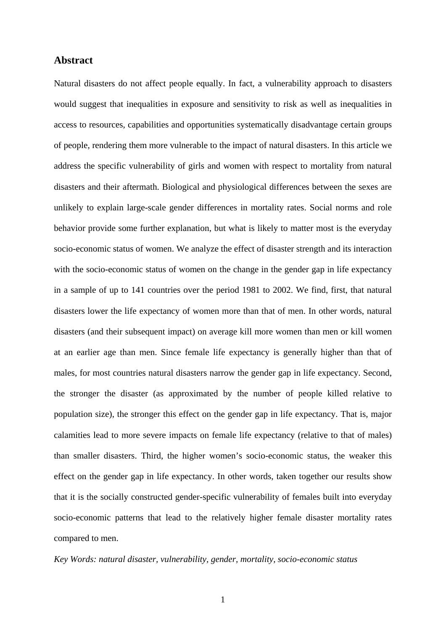#### **Abstract**

Natural disasters do not affect people equally. In fact, a vulnerability approach to disasters would suggest that inequalities in exposure and sensitivity to risk as well as inequalities in access to resources, capabilities and opportunities systematically disadvantage certain groups of people, rendering them more vulnerable to the impact of natural disasters. In this article we address the specific vulnerability of girls and women with respect to mortality from natural disasters and their aftermath. Biological and physiological differences between the sexes are unlikely to explain large-scale gender differences in mortality rates. Social norms and role behavior provide some further explanation, but what is likely to matter most is the everyday socio-economic status of women. We analyze the effect of disaster strength and its interaction with the socio-economic status of women on the change in the gender gap in life expectancy in a sample of up to 141 countries over the period 1981 to 2002. We find, first, that natural disasters lower the life expectancy of women more than that of men. In other words, natural disasters (and their subsequent impact) on average kill more women than men or kill women at an earlier age than men. Since female life expectancy is generally higher than that of males, for most countries natural disasters narrow the gender gap in life expectancy. Second, the stronger the disaster (as approximated by the number of people killed relative to population size), the stronger this effect on the gender gap in life expectancy. That is, major calamities lead to more severe impacts on female life expectancy (relative to that of males) than smaller disasters. Third, the higher women's socio-economic status, the weaker this effect on the gender gap in life expectancy. In other words, taken together our results show that it is the socially constructed gender-specific vulnerability of females built into everyday socio-economic patterns that lead to the relatively higher female disaster mortality rates compared to men.

#### *Key Words: natural disaster, vulnerability, gender, mortality, socio-economic status*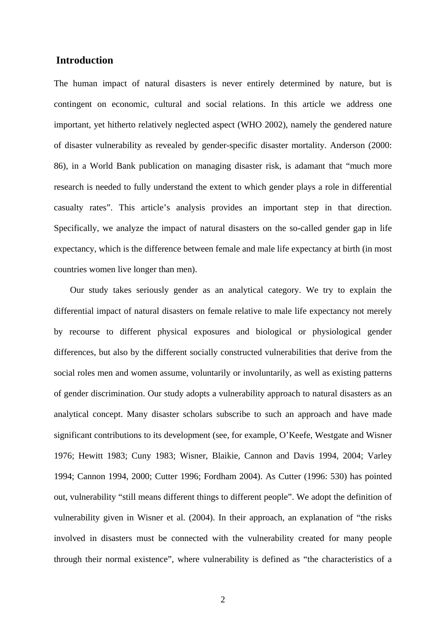#### **Introduction**

The human impact of natural disasters is never entirely determined by nature, but is contingent on economic, cultural and social relations. In this article we address one important, yet hitherto relatively neglected aspect (WHO 2002), namely the gendered nature of disaster vulnerability as revealed by gender-specific disaster mortality. Anderson (2000: 86), in a World Bank publication on managing disaster risk, is adamant that "much more research is needed to fully understand the extent to which gender plays a role in differential casualty rates". This article's analysis provides an important step in that direction. Specifically, we analyze the impact of natural disasters on the so-called gender gap in life expectancy, which is the difference between female and male life expectancy at birth (in most countries women live longer than men).

Our study takes seriously gender as an analytical category. We try to explain the differential impact of natural disasters on female relative to male life expectancy not merely by recourse to different physical exposures and biological or physiological gender differences, but also by the different socially constructed vulnerabilities that derive from the social roles men and women assume, voluntarily or involuntarily, as well as existing patterns of gender discrimination. Our study adopts a vulnerability approach to natural disasters as an analytical concept. Many disaster scholars subscribe to such an approach and have made significant contributions to its development (see, for example, O'Keefe, Westgate and Wisner 1976; Hewitt 1983; Cuny 1983; Wisner, Blaikie, Cannon and Davis 1994, 2004; Varley 1994; Cannon 1994, 2000; Cutter 1996; Fordham 2004). As Cutter (1996: 530) has pointed out, vulnerability "still means different things to different people". We adopt the definition of vulnerability given in Wisner et al. (2004). In their approach, an explanation of "the risks involved in disasters must be connected with the vulnerability created for many people through their normal existence", where vulnerability is defined as "the characteristics of a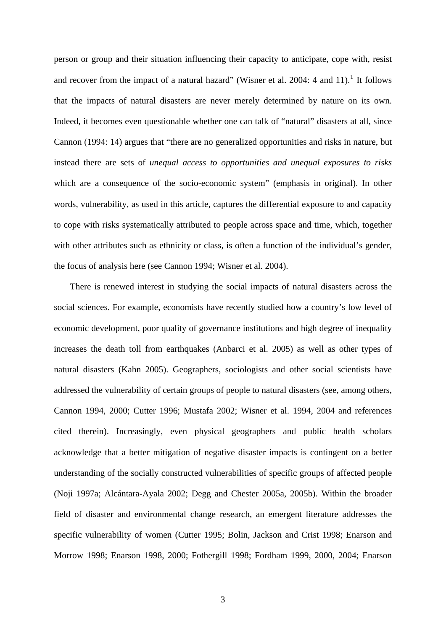person or group and their situation influencing their capacity to anticipate, cope with, resist and recover from the impact of a natural hazard" (Wisner et al. 2004: 4 and [1](#page-46-0)1).<sup>1</sup> It follows that the impacts of natural disasters are never merely determined by nature on its own. Indeed, it becomes even questionable whether one can talk of "natural" disasters at all, since Cannon (1994: 14) argues that "there are no generalized opportunities and risks in nature, but instead there are sets of *unequal access to opportunities and unequal exposures to risks* which are a consequence of the socio-economic system" (emphasis in original). In other words, vulnerability, as used in this article, captures the differential exposure to and capacity to cope with risks systematically attributed to people across space and time, which, together with other attributes such as ethnicity or class, is often a function of the individual's gender, the focus of analysis here (see Cannon 1994; Wisner et al. 2004).

There is renewed interest in studying the social impacts of natural disasters across the social sciences. For example, economists have recently studied how a country's low level of economic development, poor quality of governance institutions and high degree of inequality increases the death toll from earthquakes (Anbarci et al. 2005) as well as other types of natural disasters (Kahn 2005). Geographers, sociologists and other social scientists have addressed the vulnerability of certain groups of people to natural disasters (see, among others, Cannon 1994, 2000; Cutter 1996; Mustafa 2002; Wisner et al. 1994, 2004 and references cited therein). Increasingly, even physical geographers and public health scholars acknowledge that a better mitigation of negative disaster impacts is contingent on a better understanding of the socially constructed vulnerabilities of specific groups of affected people (Noji 1997a; Alcántara-Ayala 2002; Degg and Chester 2005a, 2005b). Within the broader field of disaster and environmental change research, an emergent literature addresses the specific vulnerability of women (Cutter 1995; Bolin, Jackson and Crist 1998; Enarson and Morrow 1998; Enarson 1998, 2000; Fothergill 1998; Fordham 1999, 2000, 2004; Enarson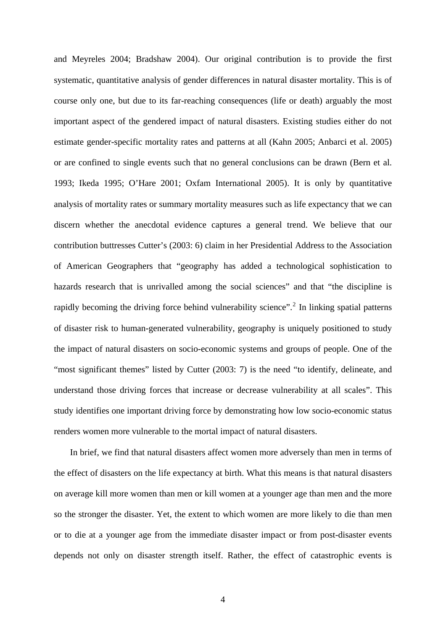and Meyreles 2004; Bradshaw 2004). Our original contribution is to provide the first systematic, quantitative analysis of gender differences in natural disaster mortality. This is of course only one, but due to its far-reaching consequences (life or death) arguably the most important aspect of the gendered impact of natural disasters. Existing studies either do not estimate gender-specific mortality rates and patterns at all (Kahn 2005; Anbarci et al. 2005) or are confined to single events such that no general conclusions can be drawn (Bern et al. 1993; Ikeda 1995; O'Hare 2001; Oxfam International 2005). It is only by quantitative analysis of mortality rates or summary mortality measures such as life expectancy that we can discern whether the anecdotal evidence captures a general trend. We believe that our contribution buttresses Cutter's (2003: 6) claim in her Presidential Address to the Association of American Geographers that "geography has added a technological sophistication to hazards research that is unrivalled among the social sciences" and that "the discipline is rapidly becoming the driving force behind vulnerability science".<sup>[2](#page-46-1)</sup> In linking spatial patterns of disaster risk to human-generated vulnerability, geography is uniquely positioned to study the impact of natural disasters on socio-economic systems and groups of people. One of the "most significant themes" listed by Cutter (2003: 7) is the need "to identify, delineate, and understand those driving forces that increase or decrease vulnerability at all scales". This study identifies one important driving force by demonstrating how low socio-economic status renders women more vulnerable to the mortal impact of natural disasters.

In brief, we find that natural disasters affect women more adversely than men in terms of the effect of disasters on the life expectancy at birth. What this means is that natural disasters on average kill more women than men or kill women at a younger age than men and the more so the stronger the disaster. Yet, the extent to which women are more likely to die than men or to die at a younger age from the immediate disaster impact or from post-disaster events depends not only on disaster strength itself. Rather, the effect of catastrophic events is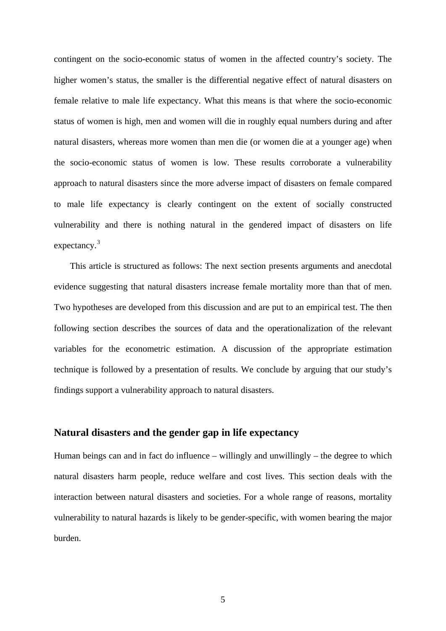contingent on the socio-economic status of women in the affected country's society. The higher women's status, the smaller is the differential negative effect of natural disasters on female relative to male life expectancy. What this means is that where the socio-economic status of women is high, men and women will die in roughly equal numbers during and after natural disasters, whereas more women than men die (or women die at a younger age) when the socio-economic status of women is low. These results corroborate a vulnerability approach to natural disasters since the more adverse impact of disasters on female compared to male life expectancy is clearly contingent on the extent of socially constructed vulnerability and there is nothing natural in the gendered impact of disasters on life expectancy.<sup>[3](#page-46-1)</sup>

This article is structured as follows: The next section presents arguments and anecdotal evidence suggesting that natural disasters increase female mortality more than that of men. Two hypotheses are developed from this discussion and are put to an empirical test. The then following section describes the sources of data and the operationalization of the relevant variables for the econometric estimation. A discussion of the appropriate estimation technique is followed by a presentation of results. We conclude by arguing that our study's findings support a vulnerability approach to natural disasters.

#### **Natural disasters and the gender gap in life expectancy**

Human beings can and in fact do influence – willingly and unwillingly – the degree to which natural disasters harm people, reduce welfare and cost lives. This section deals with the interaction between natural disasters and societies. For a whole range of reasons, mortality vulnerability to natural hazards is likely to be gender-specific, with women bearing the major burden.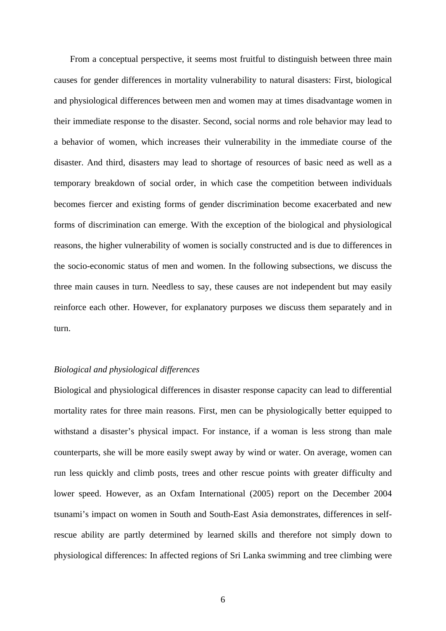From a conceptual perspective, it seems most fruitful to distinguish between three main causes for gender differences in mortality vulnerability to natural disasters: First, biological and physiological differences between men and women may at times disadvantage women in their immediate response to the disaster. Second, social norms and role behavior may lead to a behavior of women, which increases their vulnerability in the immediate course of the disaster. And third, disasters may lead to shortage of resources of basic need as well as a temporary breakdown of social order, in which case the competition between individuals becomes fiercer and existing forms of gender discrimination become exacerbated and new forms of discrimination can emerge. With the exception of the biological and physiological reasons, the higher vulnerability of women is socially constructed and is due to differences in the socio-economic status of men and women. In the following subsections, we discuss the three main causes in turn. Needless to say, these causes are not independent but may easily reinforce each other. However, for explanatory purposes we discuss them separately and in turn.

#### *Biological and physiological differences*

Biological and physiological differences in disaster response capacity can lead to differential mortality rates for three main reasons. First, men can be physiologically better equipped to withstand a disaster's physical impact. For instance, if a woman is less strong than male counterparts, she will be more easily swept away by wind or water. On average, women can run less quickly and climb posts, trees and other rescue points with greater difficulty and lower speed. However, as an Oxfam International (2005) report on the December 2004 tsunami's impact on women in South and South-East Asia demonstrates, differences in selfrescue ability are partly determined by learned skills and therefore not simply down to physiological differences: In affected regions of Sri Lanka swimming and tree climbing were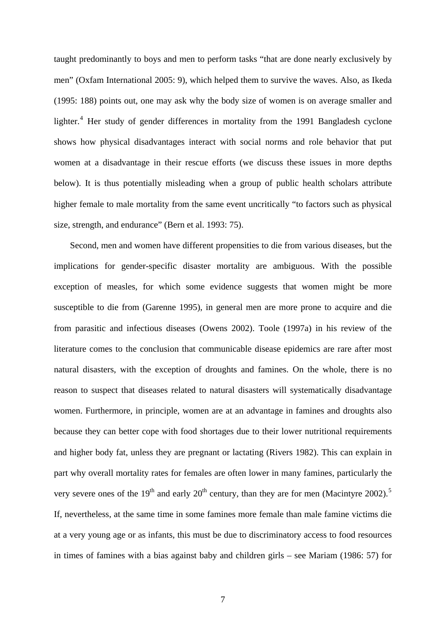taught predominantly to boys and men to perform tasks "that are done nearly exclusively by men" (Oxfam International 2005: 9), which helped them to survive the waves. Also, as Ikeda (1995: 188) points out, one may ask why the body size of women is on average smaller and lighter.<sup>[4](#page-46-1)</sup> Her study of gender differences in mortality from the 1991 Bangladesh cyclone shows how physical disadvantages interact with social norms and role behavior that put women at a disadvantage in their rescue efforts (we discuss these issues in more depths below). It is thus potentially misleading when a group of public health scholars attribute higher female to male mortality from the same event uncritically "to factors such as physical size, strength, and endurance" (Bern et al. 1993: 75).

Second, men and women have different propensities to die from various diseases, but the implications for gender-specific disaster mortality are ambiguous. With the possible exception of measles, for which some evidence suggests that women might be more susceptible to die from (Garenne 1995), in general men are more prone to acquire and die from parasitic and infectious diseases (Owens 2002). Toole (1997a) in his review of the literature comes to the conclusion that communicable disease epidemics are rare after most natural disasters, with the exception of droughts and famines. On the whole, there is no reason to suspect that diseases related to natural disasters will systematically disadvantage women. Furthermore, in principle, women are at an advantage in famines and droughts also because they can better cope with food shortages due to their lower nutritional requirements and higher body fat, unless they are pregnant or lactating (Rivers 1982). This can explain in part why overall mortality rates for females are often lower in many famines, particularly the very severe ones of the  $19<sup>th</sup>$  and early  $20<sup>th</sup>$  century, than they are for men (Macintyre 2002).<sup>[5](#page-46-1)</sup> If, nevertheless, at the same time in some famines more female than male famine victims die at a very young age or as infants, this must be due to discriminatory access to food resources in times of famines with a bias against baby and children girls – see Mariam (1986: 57) for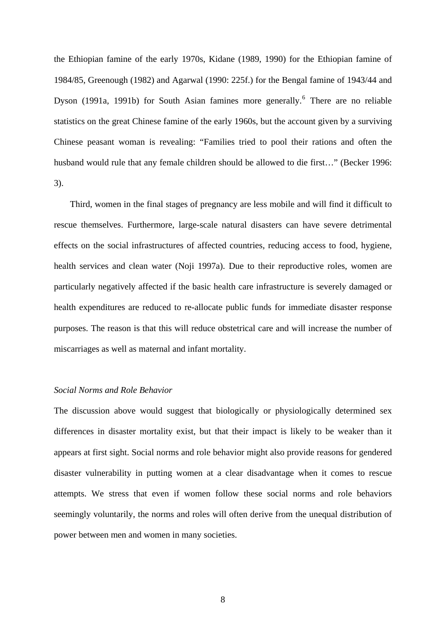the Ethiopian famine of the early 1970s, Kidane (1989, 1990) for the Ethiopian famine of 1984/85, Greenough (1982) and Agarwal (1990: 225f.) for the Bengal famine of 1943/44 and Dyson (1991a, 1991b) for South Asian famines more generally.<sup>[6](#page-46-1)</sup> There are no reliable statistics on the great Chinese famine of the early 1960s, but the account given by a surviving Chinese peasant woman is revealing: "Families tried to pool their rations and often the husband would rule that any female children should be allowed to die first…" (Becker 1996: 3).

Third, women in the final stages of pregnancy are less mobile and will find it difficult to rescue themselves. Furthermore, large-scale natural disasters can have severe detrimental effects on the social infrastructures of affected countries, reducing access to food, hygiene, health services and clean water (Noji 1997a). Due to their reproductive roles, women are particularly negatively affected if the basic health care infrastructure is severely damaged or health expenditures are reduced to re-allocate public funds for immediate disaster response purposes. The reason is that this will reduce obstetrical care and will increase the number of miscarriages as well as maternal and infant mortality.

#### *Social Norms and Role Behavior*

The discussion above would suggest that biologically or physiologically determined sex differences in disaster mortality exist, but that their impact is likely to be weaker than it appears at first sight. Social norms and role behavior might also provide reasons for gendered disaster vulnerability in putting women at a clear disadvantage when it comes to rescue attempts. We stress that even if women follow these social norms and role behaviors seemingly voluntarily, the norms and roles will often derive from the unequal distribution of power between men and women in many societies.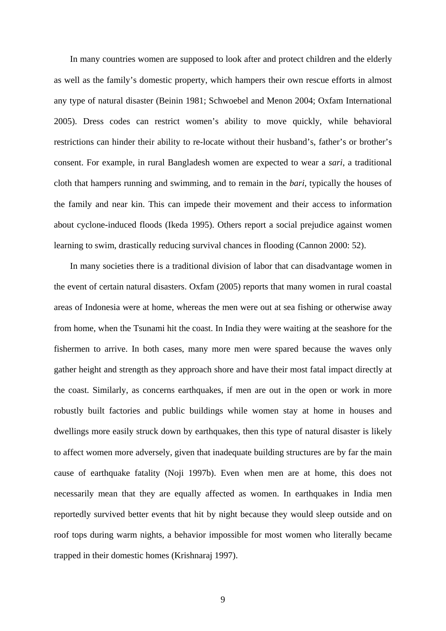In many countries women are supposed to look after and protect children and the elderly as well as the family's domestic property, which hampers their own rescue efforts in almost any type of natural disaster (Beinin 1981; Schwoebel and Menon 2004; Oxfam International 2005). Dress codes can restrict women's ability to move quickly, while behavioral restrictions can hinder their ability to re-locate without their husband's, father's or brother's consent. For example, in rural Bangladesh women are expected to wear a *sari*, a traditional cloth that hampers running and swimming, and to remain in the *bari*, typically the houses of the family and near kin. This can impede their movement and their access to information about cyclone-induced floods (Ikeda 1995). Others report a social prejudice against women learning to swim, drastically reducing survival chances in flooding (Cannon 2000: 52).

In many societies there is a traditional division of labor that can disadvantage women in the event of certain natural disasters. Oxfam (2005) reports that many women in rural coastal areas of Indonesia were at home, whereas the men were out at sea fishing or otherwise away from home, when the Tsunami hit the coast. In India they were waiting at the seashore for the fishermen to arrive. In both cases, many more men were spared because the waves only gather height and strength as they approach shore and have their most fatal impact directly at the coast. Similarly, as concerns earthquakes, if men are out in the open or work in more robustly built factories and public buildings while women stay at home in houses and dwellings more easily struck down by earthquakes, then this type of natural disaster is likely to affect women more adversely, given that inadequate building structures are by far the main cause of earthquake fatality (Noji 1997b). Even when men are at home, this does not necessarily mean that they are equally affected as women. In earthquakes in India men reportedly survived better events that hit by night because they would sleep outside and on roof tops during warm nights, a behavior impossible for most women who literally became trapped in their domestic homes (Krishnaraj 1997).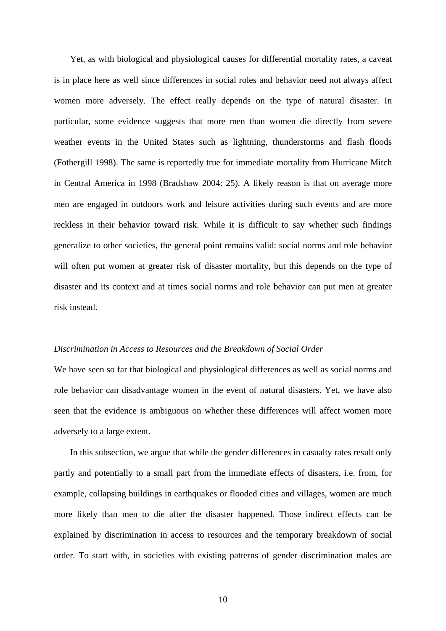Yet, as with biological and physiological causes for differential mortality rates, a caveat is in place here as well since differences in social roles and behavior need not always affect women more adversely. The effect really depends on the type of natural disaster. In particular, some evidence suggests that more men than women die directly from severe weather events in the United States such as lightning, thunderstorms and flash floods (Fothergill 1998). The same is reportedly true for immediate mortality from Hurricane Mitch in Central America in 1998 (Bradshaw 2004: 25). A likely reason is that on average more men are engaged in outdoors work and leisure activities during such events and are more reckless in their behavior toward risk. While it is difficult to say whether such findings generalize to other societies, the general point remains valid: social norms and role behavior will often put women at greater risk of disaster mortality, but this depends on the type of disaster and its context and at times social norms and role behavior can put men at greater risk instead.

#### *Discrimination in Access to Resources and the Breakdown of Social Order*

We have seen so far that biological and physiological differences as well as social norms and role behavior can disadvantage women in the event of natural disasters. Yet, we have also seen that the evidence is ambiguous on whether these differences will affect women more adversely to a large extent.

In this subsection, we argue that while the gender differences in casualty rates result only partly and potentially to a small part from the immediate effects of disasters, i.e. from, for example, collapsing buildings in earthquakes or flooded cities and villages, women are much more likely than men to die after the disaster happened. Those indirect effects can be explained by discrimination in access to resources and the temporary breakdown of social order. To start with, in societies with existing patterns of gender discrimination males are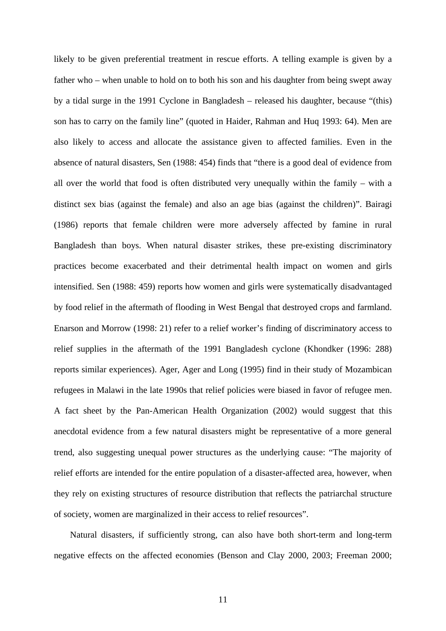likely to be given preferential treatment in rescue efforts. A telling example is given by a father who – when unable to hold on to both his son and his daughter from being swept away by a tidal surge in the 1991 Cyclone in Bangladesh – released his daughter, because "(this) son has to carry on the family line" (quoted in Haider, Rahman and Huq 1993: 64). Men are also likely to access and allocate the assistance given to affected families. Even in the absence of natural disasters, Sen (1988: 454) finds that "there is a good deal of evidence from all over the world that food is often distributed very unequally within the family – with a distinct sex bias (against the female) and also an age bias (against the children)". Bairagi (1986) reports that female children were more adversely affected by famine in rural Bangladesh than boys. When natural disaster strikes, these pre-existing discriminatory practices become exacerbated and their detrimental health impact on women and girls intensified. Sen (1988: 459) reports how women and girls were systematically disadvantaged by food relief in the aftermath of flooding in West Bengal that destroyed crops and farmland. Enarson and Morrow (1998: 21) refer to a relief worker's finding of discriminatory access to relief supplies in the aftermath of the 1991 Bangladesh cyclone (Khondker (1996: 288) reports similar experiences). Ager, Ager and Long (1995) find in their study of Mozambican refugees in Malawi in the late 1990s that relief policies were biased in favor of refugee men. A fact sheet by the Pan-American Health Organization (2002) would suggest that this anecdotal evidence from a few natural disasters might be representative of a more general trend, also suggesting unequal power structures as the underlying cause: "The majority of relief efforts are intended for the entire population of a disaster-affected area, however, when they rely on existing structures of resource distribution that reflects the patriarchal structure of society, women are marginalized in their access to relief resources".

Natural disasters, if sufficiently strong, can also have both short-term and long-term negative effects on the affected economies (Benson and Clay 2000, 2003; Freeman 2000;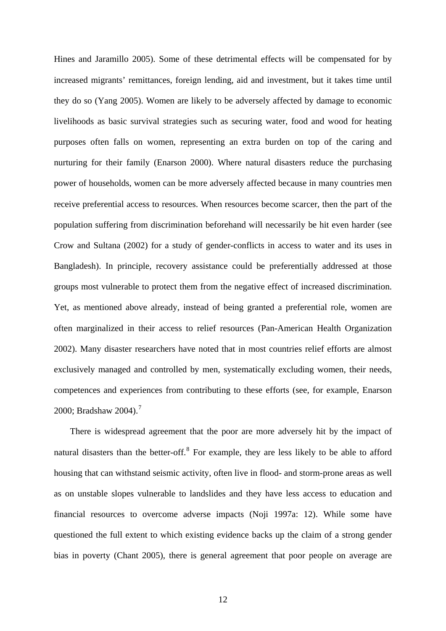Hines and Jaramillo 2005). Some of these detrimental effects will be compensated for by increased migrants' remittances, foreign lending, aid and investment, but it takes time until they do so (Yang 2005). Women are likely to be adversely affected by damage to economic livelihoods as basic survival strategies such as securing water, food and wood for heating purposes often falls on women, representing an extra burden on top of the caring and nurturing for their family (Enarson 2000). Where natural disasters reduce the purchasing power of households, women can be more adversely affected because in many countries men receive preferential access to resources. When resources become scarcer, then the part of the population suffering from discrimination beforehand will necessarily be hit even harder (see Crow and Sultana (2002) for a study of gender-conflicts in access to water and its uses in Bangladesh). In principle, recovery assistance could be preferentially addressed at those groups most vulnerable to protect them from the negative effect of increased discrimination. Yet, as mentioned above already, instead of being granted a preferential role, women are often marginalized in their access to relief resources (Pan-American Health Organization 2002). Many disaster researchers have noted that in most countries relief efforts are almost exclusively managed and controlled by men, systematically excluding women, their needs, competences and experiences from contributing to these efforts (see, for example, Enarson 2000; Bradshaw 2004).<sup>[7](#page-46-1)</sup>

There is widespread agreement that the poor are more adversely hit by the impact of natural disasters than the better-off. $<sup>8</sup>$  $<sup>8</sup>$  $<sup>8</sup>$  For example, they are less likely to be able to afford</sup> housing that can withstand seismic activity, often live in flood- and storm-prone areas as well as on unstable slopes vulnerable to landslides and they have less access to education and financial resources to overcome adverse impacts (Noji 1997a: 12). While some have questioned the full extent to which existing evidence backs up the claim of a strong gender bias in poverty (Chant 2005), there is general agreement that poor people on average are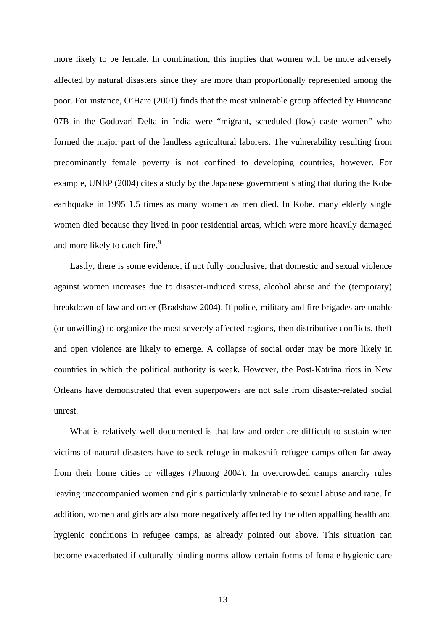more likely to be female. In combination, this implies that women will be more adversely affected by natural disasters since they are more than proportionally represented among the poor. For instance, O'Hare (2001) finds that the most vulnerable group affected by Hurricane 07B in the Godavari Delta in India were "migrant, scheduled (low) caste women" who formed the major part of the landless agricultural laborers. The vulnerability resulting from predominantly female poverty is not confined to developing countries, however. For example, UNEP (2004) cites a study by the Japanese government stating that during the Kobe earthquake in 1995 1.5 times as many women as men died. In Kobe, many elderly single women died because they lived in poor residential areas, which were more heavily damaged and more likely to catch fire.<sup>[9](#page-46-1)</sup>

Lastly, there is some evidence, if not fully conclusive, that domestic and sexual violence against women increases due to disaster-induced stress, alcohol abuse and the (temporary) breakdown of law and order (Bradshaw 2004). If police, military and fire brigades are unable (or unwilling) to organize the most severely affected regions, then distributive conflicts, theft and open violence are likely to emerge. A collapse of social order may be more likely in countries in which the political authority is weak. However, the Post-Katrina riots in New Orleans have demonstrated that even superpowers are not safe from disaster-related social unrest.

What is relatively well documented is that law and order are difficult to sustain when victims of natural disasters have to seek refuge in makeshift refugee camps often far away from their home cities or villages (Phuong 2004). In overcrowded camps anarchy rules leaving unaccompanied women and girls particularly vulnerable to sexual abuse and rape. In addition, women and girls are also more negatively affected by the often appalling health and hygienic conditions in refugee camps, as already pointed out above. This situation can become exacerbated if culturally binding norms allow certain forms of female hygienic care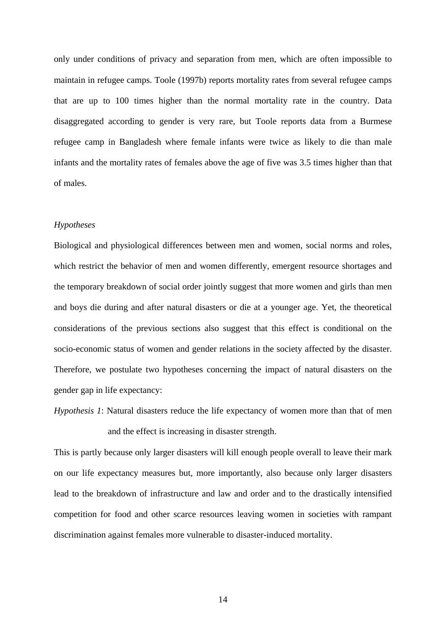only under conditions of privacy and separation from men, which are often impossible to maintain in refugee camps. Toole (1997b) reports mortality rates from several refugee camps that are up to 100 times higher than the normal mortality rate in the country. Data disaggregated according to gender is very rare, but Toole reports data from a Burmese refugee camp in Bangladesh where female infants were twice as likely to die than male infants and the mortality rates of females above the age of five was 3.5 times higher than that of males.

#### *Hypotheses*

Biological and physiological differences between men and women, social norms and roles, which restrict the behavior of men and women differently, emergent resource shortages and the temporary breakdown of social order jointly suggest that more women and girls than men and boys die during and after natural disasters or die at a younger age. Yet, the theoretical considerations of the previous sections also suggest that this effect is conditional on the socio-economic status of women and gender relations in the society affected by the disaster. Therefore, we postulate two hypotheses concerning the impact of natural disasters on the gender gap in life expectancy:

*Hypothesis 1*: Natural disasters reduce the life expectancy of women more than that of men and the effect is increasing in disaster strength.

This is partly because only larger disasters will kill enough people overall to leave their mark on our life expectancy measures but, more importantly, also because only larger disasters lead to the breakdown of infrastructure and law and order and to the drastically intensified competition for food and other scarce resources leaving women in societies with rampant discrimination against females more vulnerable to disaster-induced mortality.

14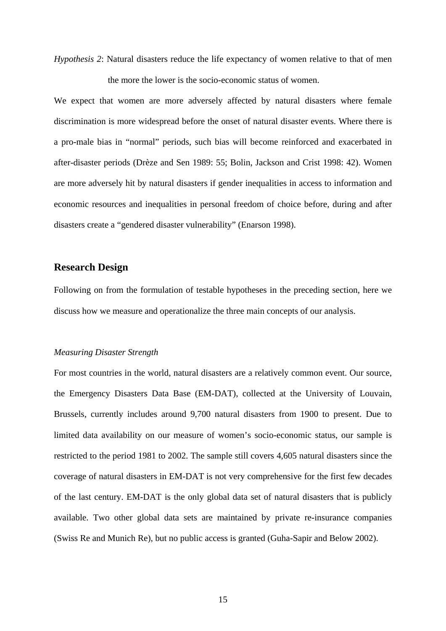*Hypothesis 2*: Natural disasters reduce the life expectancy of women relative to that of men the more the lower is the socio-economic status of women.

We expect that women are more adversely affected by natural disasters where female discrimination is more widespread before the onset of natural disaster events. Where there is a pro-male bias in "normal" periods, such bias will become reinforced and exacerbated in after-disaster periods (Drèze and Sen 1989: 55; Bolin, Jackson and Crist 1998: 42). Women are more adversely hit by natural disasters if gender inequalities in access to information and economic resources and inequalities in personal freedom of choice before, during and after disasters create a "gendered disaster vulnerability" (Enarson 1998).

#### **Research Design**

Following on from the formulation of testable hypotheses in the preceding section, here we discuss how we measure and operationalize the three main concepts of our analysis.

#### *Measuring Disaster Strength*

For most countries in the world, natural disasters are a relatively common event. Our source, the Emergency Disasters Data Base (EM-DAT), collected at the University of Louvain, Brussels, currently includes around 9,700 natural disasters from 1900 to present. Due to limited data availability on our measure of women's socio-economic status, our sample is restricted to the period 1981 to 2002. The sample still covers 4,605 natural disasters since the coverage of natural disasters in EM-DAT is not very comprehensive for the first few decades of the last century. EM-DAT is the only global data set of natural disasters that is publicly available. Two other global data sets are maintained by private re-insurance companies (Swiss Re and Munich Re), but no public access is granted (Guha-Sapir and Below 2002).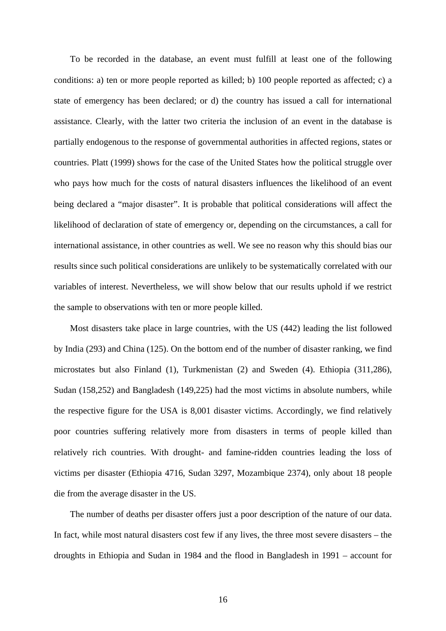To be recorded in the database, an event must fulfill at least one of the following conditions: a) ten or more people reported as killed; b) 100 people reported as affected; c) a state of emergency has been declared; or d) the country has issued a call for international assistance. Clearly, with the latter two criteria the inclusion of an event in the database is partially endogenous to the response of governmental authorities in affected regions, states or countries. Platt (1999) shows for the case of the United States how the political struggle over who pays how much for the costs of natural disasters influences the likelihood of an event being declared a "major disaster". It is probable that political considerations will affect the likelihood of declaration of state of emergency or, depending on the circumstances, a call for international assistance, in other countries as well. We see no reason why this should bias our results since such political considerations are unlikely to be systematically correlated with our variables of interest. Nevertheless, we will show below that our results uphold if we restrict the sample to observations with ten or more people killed.

Most disasters take place in large countries, with the US (442) leading the list followed by India (293) and China (125). On the bottom end of the number of disaster ranking, we find microstates but also Finland (1), Turkmenistan (2) and Sweden (4). Ethiopia (311,286), Sudan (158,252) and Bangladesh (149,225) had the most victims in absolute numbers, while the respective figure for the USA is 8,001 disaster victims. Accordingly, we find relatively poor countries suffering relatively more from disasters in terms of people killed than relatively rich countries. With drought- and famine-ridden countries leading the loss of victims per disaster (Ethiopia 4716, Sudan 3297, Mozambique 2374), only about 18 people die from the average disaster in the US.

The number of deaths per disaster offers just a poor description of the nature of our data. In fact, while most natural disasters cost few if any lives, the three most severe disasters – the droughts in Ethiopia and Sudan in 1984 and the flood in Bangladesh in 1991 – account for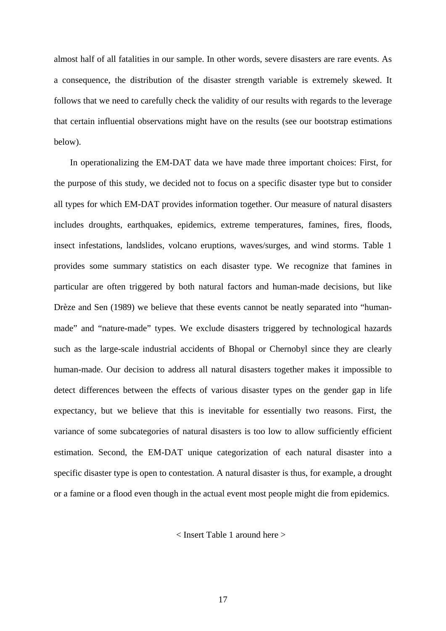almost half of all fatalities in our sample. In other words, severe disasters are rare events. As a consequence, the distribution of the disaster strength variable is extremely skewed. It follows that we need to carefully check the validity of our results with regards to the leverage that certain influential observations might have on the results (see our bootstrap estimations below).

In operationalizing the EM-DAT data we have made three important choices: First, for the purpose of this study, we decided not to focus on a specific disaster type but to consider all types for which EM-DAT provides information together. Our measure of natural disasters includes droughts, earthquakes, epidemics, extreme temperatures, famines, fires, floods, insect infestations, landslides, volcano eruptions, waves/surges, and wind storms. Table 1 provides some summary statistics on each disaster type. We recognize that famines in particular are often triggered by both natural factors and human-made decisions, but like Drèze and Sen (1989) we believe that these events cannot be neatly separated into "humanmade" and "nature-made" types. We exclude disasters triggered by technological hazards such as the large-scale industrial accidents of Bhopal or Chernobyl since they are clearly human-made. Our decision to address all natural disasters together makes it impossible to detect differences between the effects of various disaster types on the gender gap in life expectancy, but we believe that this is inevitable for essentially two reasons. First, the variance of some subcategories of natural disasters is too low to allow sufficiently efficient estimation. Second, the EM-DAT unique categorization of each natural disaster into a specific disaster type is open to contestation. A natural disaster is thus, for example, a drought or a famine or a flood even though in the actual event most people might die from epidemics.

< Insert Table 1 around here >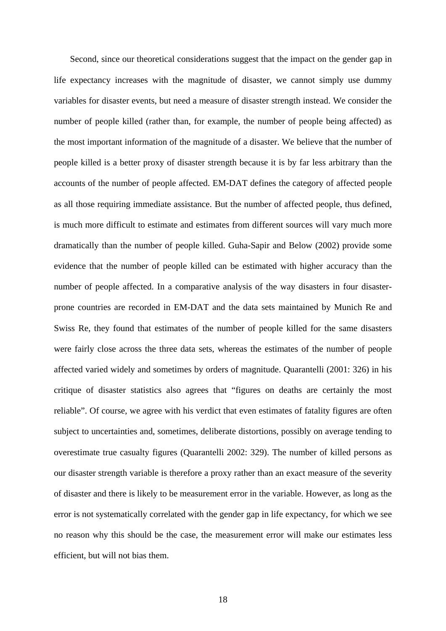Second, since our theoretical considerations suggest that the impact on the gender gap in life expectancy increases with the magnitude of disaster, we cannot simply use dummy variables for disaster events, but need a measure of disaster strength instead. We consider the number of people killed (rather than, for example, the number of people being affected) as the most important information of the magnitude of a disaster. We believe that the number of people killed is a better proxy of disaster strength because it is by far less arbitrary than the accounts of the number of people affected. EM-DAT defines the category of affected people as all those requiring immediate assistance. But the number of affected people, thus defined, is much more difficult to estimate and estimates from different sources will vary much more dramatically than the number of people killed. Guha-Sapir and Below (2002) provide some evidence that the number of people killed can be estimated with higher accuracy than the number of people affected. In a comparative analysis of the way disasters in four disasterprone countries are recorded in EM-DAT and the data sets maintained by Munich Re and Swiss Re, they found that estimates of the number of people killed for the same disasters were fairly close across the three data sets, whereas the estimates of the number of people affected varied widely and sometimes by orders of magnitude. Quarantelli (2001: 326) in his critique of disaster statistics also agrees that "figures on deaths are certainly the most reliable". Of course, we agree with his verdict that even estimates of fatality figures are often subject to uncertainties and, sometimes, deliberate distortions, possibly on average tending to overestimate true casualty figures (Quarantelli 2002: 329). The number of killed persons as our disaster strength variable is therefore a proxy rather than an exact measure of the severity of disaster and there is likely to be measurement error in the variable. However, as long as the error is not systematically correlated with the gender gap in life expectancy, for which we see no reason why this should be the case, the measurement error will make our estimates less efficient, but will not bias them.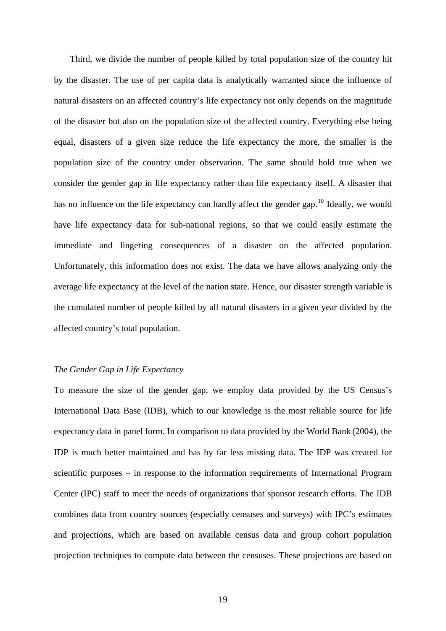Third, we divide the number of people killed by total population size of the country hit by the disaster. The use of per capita data is analytically warranted since the influence of natural disasters on an affected country's life expectancy not only depends on the magnitude of the disaster but also on the population size of the affected country. Everything else being equal, disasters of a given size reduce the life expectancy the more, the smaller is the population size of the country under observation. The same should hold true when we consider the gender gap in life expectancy rather than life expectancy itself. A disaster that has no influence on the life expectancy can hardly affect the gender gap.<sup>[10](#page-46-1)</sup> Ideally, we would have life expectancy data for sub-national regions, so that we could easily estimate the immediate and lingering consequences of a disaster on the affected population. Unfortunately, this information does not exist. The data we have allows analyzing only the average life expectancy at the level of the nation state. Hence, our disaster strength variable is the cumulated number of people killed by all natural disasters in a given year divided by the affected country's total population.

#### *The Gender Gap in Life Expectancy*

To measure the size of the gender gap, we employ data provided by the US Census's International Data Base (IDB), which to our knowledge is the most reliable source for life expectancy data in panel form. In comparison to data provided by the World Bank (2004), the IDP is much better maintained and has by far less missing data. The IDP was created for scientific purposes – in response to the information requirements of International Program Center (IPC) staff to meet the needs of organizations that sponsor research efforts. The IDB combines data from country sources (especially censuses and surveys) with IPC's estimates and projections, which are based on available census data and group cohort population projection techniques to compute data between the censuses. These projections are based on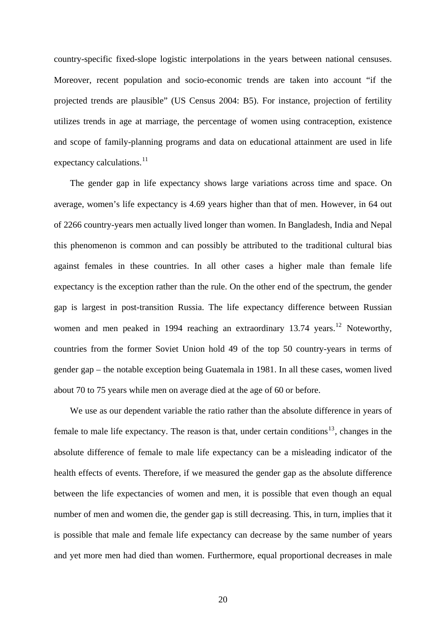country-specific fixed-slope logistic interpolations in the years between national censuses. Moreover, recent population and socio-economic trends are taken into account "if the projected trends are plausible" (US Census 2004: B5). For instance, projection of fertility utilizes trends in age at marriage, the percentage of women using contraception, existence and scope of family-planning programs and data on educational attainment are used in life expectancy calculations. $^{11}$  $^{11}$  $^{11}$ 

The gender gap in life expectancy shows large variations across time and space. On average, women's life expectancy is 4.69 years higher than that of men. However, in 64 out of 2266 country-years men actually lived longer than women. In Bangladesh, India and Nepal this phenomenon is common and can possibly be attributed to the traditional cultural bias against females in these countries. In all other cases a higher male than female life expectancy is the exception rather than the rule. On the other end of the spectrum, the gender gap is largest in post-transition Russia. The life expectancy difference between Russian women and men peaked in 1994 reaching an extraordinary  $13.74$  years.<sup>[12](#page-46-1)</sup> Noteworthy, countries from the former Soviet Union hold 49 of the top 50 country-years in terms of gender gap – the notable exception being Guatemala in 1981. In all these cases, women lived about 70 to 75 years while men on average died at the age of 60 or before.

We use as our dependent variable the ratio rather than the absolute difference in years of female to male life expectancy. The reason is that, under certain conditions<sup>[13](#page-46-1)</sup>, changes in the absolute difference of female to male life expectancy can be a misleading indicator of the health effects of events. Therefore, if we measured the gender gap as the absolute difference between the life expectancies of women and men, it is possible that even though an equal number of men and women die, the gender gap is still decreasing. This, in turn, implies that it is possible that male and female life expectancy can decrease by the same number of years and yet more men had died than women. Furthermore, equal proportional decreases in male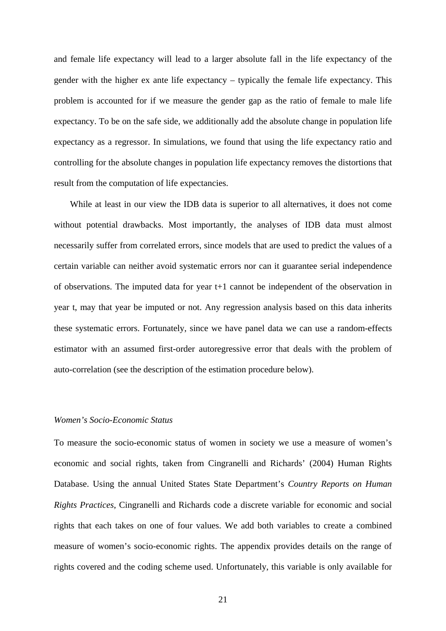and female life expectancy will lead to a larger absolute fall in the life expectancy of the gender with the higher ex ante life expectancy – typically the female life expectancy. This problem is accounted for if we measure the gender gap as the ratio of female to male life expectancy. To be on the safe side, we additionally add the absolute change in population life expectancy as a regressor. In simulations, we found that using the life expectancy ratio and controlling for the absolute changes in population life expectancy removes the distortions that result from the computation of life expectancies.

While at least in our view the IDB data is superior to all alternatives, it does not come without potential drawbacks. Most importantly, the analyses of IDB data must almost necessarily suffer from correlated errors, since models that are used to predict the values of a certain variable can neither avoid systematic errors nor can it guarantee serial independence of observations. The imputed data for year t+1 cannot be independent of the observation in year t, may that year be imputed or not. Any regression analysis based on this data inherits these systematic errors. Fortunately, since we have panel data we can use a random-effects estimator with an assumed first-order autoregressive error that deals with the problem of auto-correlation (see the description of the estimation procedure below).

#### *Women's Socio-Economic Status*

To measure the socio-economic status of women in society we use a measure of women's economic and social rights, taken from Cingranelli and Richards' (2004) Human Rights Database. Using the annual United States State Department's *Country Reports on Human Rights Practices*, Cingranelli and Richards code a discrete variable for economic and social rights that each takes on one of four values. We add both variables to create a combined measure of women's socio-economic rights. The appendix provides details on the range of rights covered and the coding scheme used. Unfortunately, this variable is only available for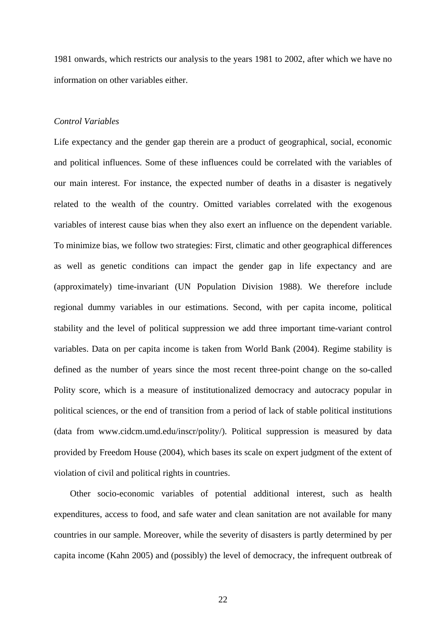1981 onwards, which restricts our analysis to the years 1981 to 2002, after which we have no information on other variables either.

#### *Control Variables*

Life expectancy and the gender gap therein are a product of geographical, social, economic and political influences. Some of these influences could be correlated with the variables of our main interest. For instance, the expected number of deaths in a disaster is negatively related to the wealth of the country. Omitted variables correlated with the exogenous variables of interest cause bias when they also exert an influence on the dependent variable. To minimize bias, we follow two strategies: First, climatic and other geographical differences as well as genetic conditions can impact the gender gap in life expectancy and are (approximately) time-invariant (UN Population Division 1988). We therefore include regional dummy variables in our estimations. Second, with per capita income, political stability and the level of political suppression we add three important time-variant control variables. Data on per capita income is taken from World Bank (2004). Regime stability is defined as the number of years since the most recent three-point change on the so-called Polity score, which is a measure of institutionalized democracy and autocracy popular in political sciences, or the end of transition from a period of lack of stable political institutions (data from www.cidcm.umd.edu/inscr/polity/). Political suppression is measured by data provided by Freedom House (2004), which bases its scale on expert judgment of the extent of violation of civil and political rights in countries.

Other socio-economic variables of potential additional interest, such as health expenditures, access to food, and safe water and clean sanitation are not available for many countries in our sample. Moreover, while the severity of disasters is partly determined by per capita income (Kahn 2005) and (possibly) the level of democracy, the infrequent outbreak of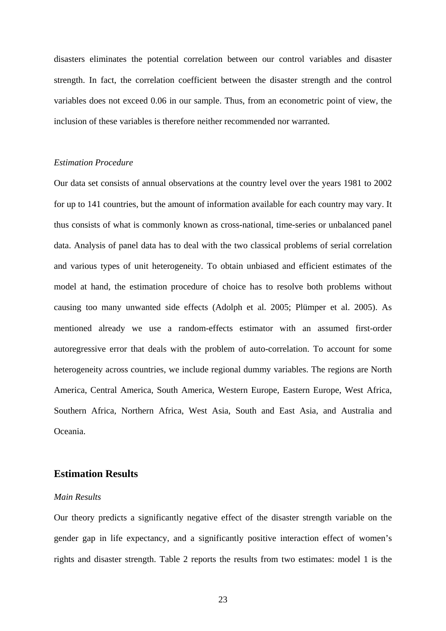disasters eliminates the potential correlation between our control variables and disaster strength. In fact, the correlation coefficient between the disaster strength and the control variables does not exceed 0.06 in our sample. Thus, from an econometric point of view, the inclusion of these variables is therefore neither recommended nor warranted.

#### *Estimation Procedure*

Our data set consists of annual observations at the country level over the years 1981 to 2002 for up to 141 countries, but the amount of information available for each country may vary. It thus consists of what is commonly known as cross-national, time-series or unbalanced panel data. Analysis of panel data has to deal with the two classical problems of serial correlation and various types of unit heterogeneity. To obtain unbiased and efficient estimates of the model at hand, the estimation procedure of choice has to resolve both problems without causing too many unwanted side effects (Adolph et al. 2005; Plümper et al. 2005). As mentioned already we use a random-effects estimator with an assumed first-order autoregressive error that deals with the problem of auto-correlation. To account for some heterogeneity across countries, we include regional dummy variables. The regions are North America, Central America, South America, Western Europe, Eastern Europe, West Africa, Southern Africa, Northern Africa, West Asia, South and East Asia, and Australia and Oceania.

#### **Estimation Results**

#### *Main Results*

Our theory predicts a significantly negative effect of the disaster strength variable on the gender gap in life expectancy, and a significantly positive interaction effect of women's rights and disaster strength. Table 2 reports the results from two estimates: model 1 is the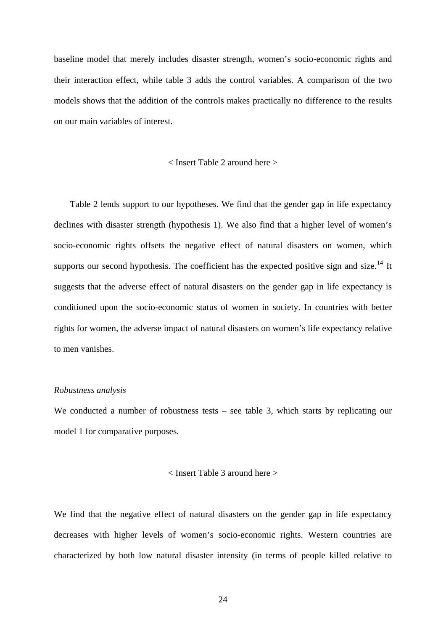baseline model that merely includes disaster strength, women's socio-economic rights and their interaction effect, while table 3 adds the control variables. A comparison of the two models shows that the addition of the controls makes practically no difference to the results on our main variables of interest.

#### < Insert Table 2 around here >

Table 2 lends support to our hypotheses. We find that the gender gap in life expectancy declines with disaster strength (hypothesis 1). We also find that a higher level of women's socio-economic rights offsets the negative effect of natural disasters on women, which supports our second hypothesis. The coefficient has the expected positive sign and size.<sup>[14](#page-46-1)</sup> It suggests that the adverse effect of natural disasters on the gender gap in life expectancy is conditioned upon the socio-economic status of women in society. In countries with better rights for women, the adverse impact of natural disasters on women's life expectancy relative to men vanishes.

#### *Robustness analysis*

We conducted a number of robustness tests – see table 3, which starts by replicating our model 1 for comparative purposes.

#### < Insert Table 3 around here >

We find that the negative effect of natural disasters on the gender gap in life expectancy decreases with higher levels of women's socio-economic rights. Western countries are characterized by both low natural disaster intensity (in terms of people killed relative to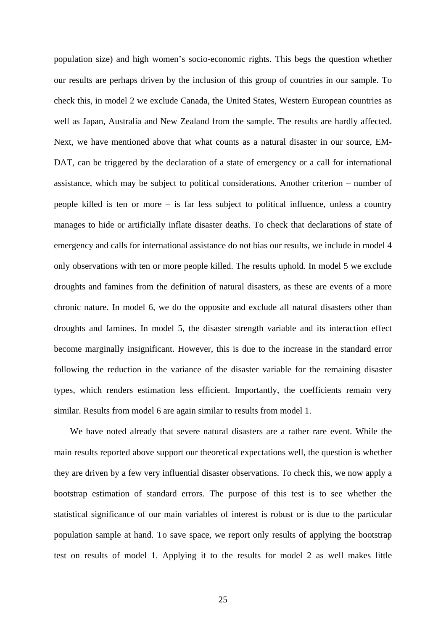population size) and high women's socio-economic rights. This begs the question whether our results are perhaps driven by the inclusion of this group of countries in our sample. To check this, in model 2 we exclude Canada, the United States, Western European countries as well as Japan, Australia and New Zealand from the sample. The results are hardly affected. Next, we have mentioned above that what counts as a natural disaster in our source, EM-DAT, can be triggered by the declaration of a state of emergency or a call for international assistance, which may be subject to political considerations. Another criterion – number of people killed is ten or more – is far less subject to political influence, unless a country manages to hide or artificially inflate disaster deaths. To check that declarations of state of emergency and calls for international assistance do not bias our results, we include in model 4 only observations with ten or more people killed. The results uphold. In model 5 we exclude droughts and famines from the definition of natural disasters, as these are events of a more chronic nature. In model 6, we do the opposite and exclude all natural disasters other than droughts and famines. In model 5, the disaster strength variable and its interaction effect become marginally insignificant. However, this is due to the increase in the standard error following the reduction in the variance of the disaster variable for the remaining disaster types, which renders estimation less efficient. Importantly, the coefficients remain very similar. Results from model 6 are again similar to results from model 1.

We have noted already that severe natural disasters are a rather rare event. While the main results reported above support our theoretical expectations well, the question is whether they are driven by a few very influential disaster observations. To check this, we now apply a bootstrap estimation of standard errors. The purpose of this test is to see whether the statistical significance of our main variables of interest is robust or is due to the particular population sample at hand. To save space, we report only results of applying the bootstrap test on results of model 1. Applying it to the results for model 2 as well makes little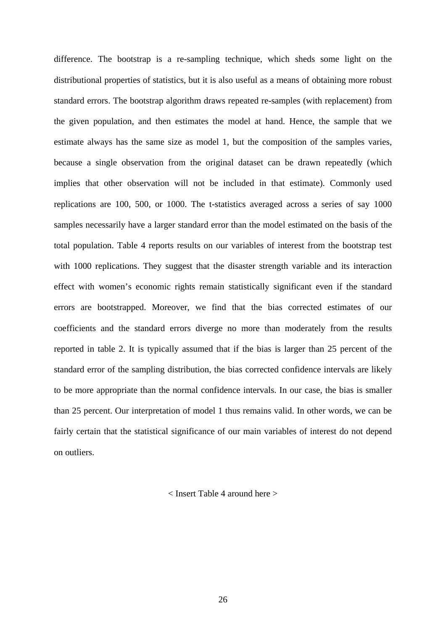difference. The bootstrap is a re-sampling technique, which sheds some light on the distributional properties of statistics, but it is also useful as a means of obtaining more robust standard errors. The bootstrap algorithm draws repeated re-samples (with replacement) from the given population, and then estimates the model at hand. Hence, the sample that we estimate always has the same size as model 1, but the composition of the samples varies, because a single observation from the original dataset can be drawn repeatedly (which implies that other observation will not be included in that estimate). Commonly used replications are 100, 500, or 1000. The t-statistics averaged across a series of say 1000 samples necessarily have a larger standard error than the model estimated on the basis of the total population. Table 4 reports results on our variables of interest from the bootstrap test with 1000 replications. They suggest that the disaster strength variable and its interaction effect with women's economic rights remain statistically significant even if the standard errors are bootstrapped. Moreover, we find that the bias corrected estimates of our coefficients and the standard errors diverge no more than moderately from the results reported in table 2. It is typically assumed that if the bias is larger than 25 percent of the standard error of the sampling distribution, the bias corrected confidence intervals are likely to be more appropriate than the normal confidence intervals. In our case, the bias is smaller than 25 percent. Our interpretation of model 1 thus remains valid. In other words, we can be fairly certain that the statistical significance of our main variables of interest do not depend on outliers.

< Insert Table 4 around here >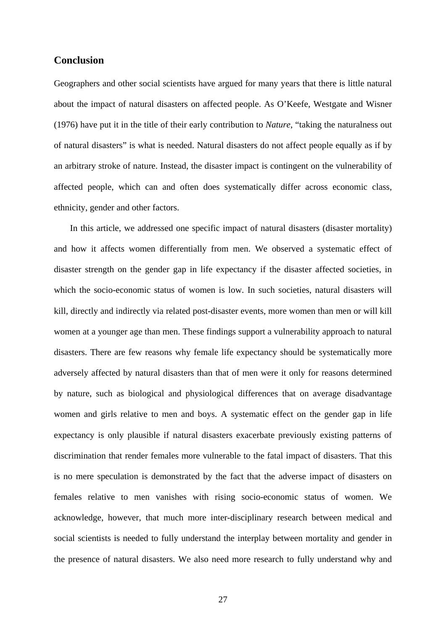#### **Conclusion**

Geographers and other social scientists have argued for many years that there is little natural about the impact of natural disasters on affected people. As O'Keefe, Westgate and Wisner (1976) have put it in the title of their early contribution to *Nature*, "taking the naturalness out of natural disasters" is what is needed. Natural disasters do not affect people equally as if by an arbitrary stroke of nature. Instead, the disaster impact is contingent on the vulnerability of affected people, which can and often does systematically differ across economic class, ethnicity, gender and other factors.

In this article, we addressed one specific impact of natural disasters (disaster mortality) and how it affects women differentially from men. We observed a systematic effect of disaster strength on the gender gap in life expectancy if the disaster affected societies, in which the socio-economic status of women is low. In such societies, natural disasters will kill, directly and indirectly via related post-disaster events, more women than men or will kill women at a younger age than men. These findings support a vulnerability approach to natural disasters. There are few reasons why female life expectancy should be systematically more adversely affected by natural disasters than that of men were it only for reasons determined by nature, such as biological and physiological differences that on average disadvantage women and girls relative to men and boys. A systematic effect on the gender gap in life expectancy is only plausible if natural disasters exacerbate previously existing patterns of discrimination that render females more vulnerable to the fatal impact of disasters. That this is no mere speculation is demonstrated by the fact that the adverse impact of disasters on females relative to men vanishes with rising socio-economic status of women. We acknowledge, however, that much more inter-disciplinary research between medical and social scientists is needed to fully understand the interplay between mortality and gender in the presence of natural disasters. We also need more research to fully understand why and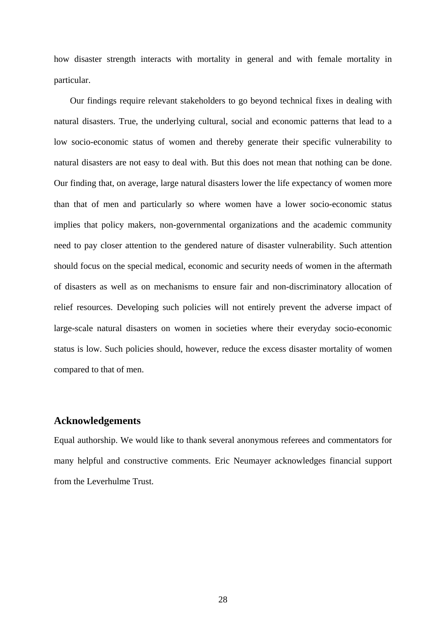how disaster strength interacts with mortality in general and with female mortality in particular.

Our findings require relevant stakeholders to go beyond technical fixes in dealing with natural disasters. True, the underlying cultural, social and economic patterns that lead to a low socio-economic status of women and thereby generate their specific vulnerability to natural disasters are not easy to deal with. But this does not mean that nothing can be done. Our finding that, on average, large natural disasters lower the life expectancy of women more than that of men and particularly so where women have a lower socio-economic status implies that policy makers, non-governmental organizations and the academic community need to pay closer attention to the gendered nature of disaster vulnerability. Such attention should focus on the special medical, economic and security needs of women in the aftermath of disasters as well as on mechanisms to ensure fair and non-discriminatory allocation of relief resources. Developing such policies will not entirely prevent the adverse impact of large-scale natural disasters on women in societies where their everyday socio-economic status is low. Such policies should, however, reduce the excess disaster mortality of women compared to that of men.

#### **Acknowledgements**

Equal authorship. We would like to thank several anonymous referees and commentators for many helpful and constructive comments. Eric Neumayer acknowledges financial support from the Leverhulme Trust.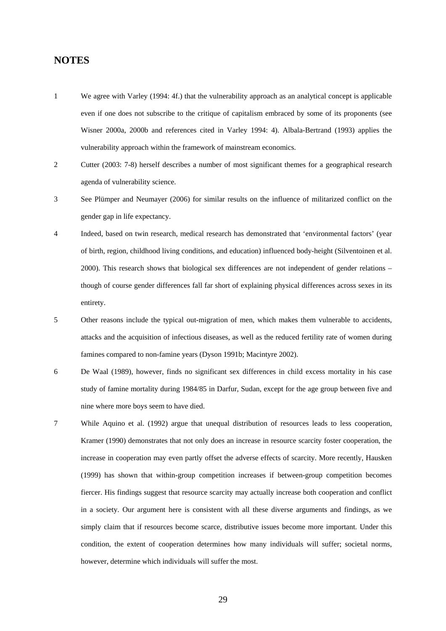#### **NOTES**

- 1 We agree with Varley (1994: 4f.) that the vulnerability approach as an analytical concept is applicable even if one does not subscribe to the critique of capitalism embraced by some of its proponents (see Wisner 2000a, 2000b and references cited in Varley 1994: 4). Albala-Bertrand (1993) applies the vulnerability approach within the framework of mainstream economics.
- 2 Cutter (2003: 7-8) herself describes a number of most significant themes for a geographical research agenda of vulnerability science.
- 3 See Plümper and Neumayer (2006) for similar results on the influence of militarized conflict on the gender gap in life expectancy.
- 4 Indeed, based on twin research, medical research has demonstrated that 'environmental factors' (year of birth, region, childhood living conditions, and education) influenced body-height (Silventoinen et al. 2000). This research shows that biological sex differences are not independent of gender relations – though of course gender differences fall far short of explaining physical differences across sexes in its entirety.
- 5 Other reasons include the typical out-migration of men, which makes them vulnerable to accidents, attacks and the acquisition of infectious diseases, as well as the reduced fertility rate of women during famines compared to non-famine years (Dyson 1991b; Macintyre 2002).
- 6 De Waal (1989), however, finds no significant sex differences in child excess mortality in his case study of famine mortality during 1984/85 in Darfur, Sudan, except for the age group between five and nine where more boys seem to have died.
- 7 While Aquino et al. (1992) argue that unequal distribution of resources leads to less cooperation, Kramer (1990) demonstrates that not only does an increase in resource scarcity foster cooperation, the increase in cooperation may even partly offset the adverse effects of scarcity. More recently, Hausken (1999) has shown that within-group competition increases if between-group competition becomes fiercer. His findings suggest that resource scarcity may actually increase both cooperation and conflict in a society. Our argument here is consistent with all these diverse arguments and findings, as we simply claim that if resources become scarce, distributive issues become more important. Under this condition, the extent of cooperation determines how many individuals will suffer; societal norms, however, determine which individuals will suffer the most.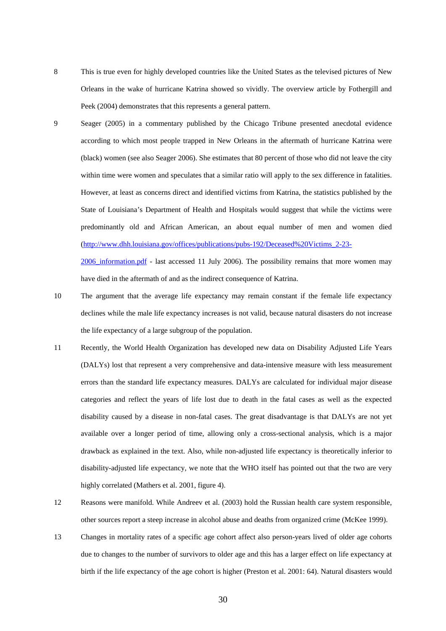8 This is true even for highly developed countries like the United States as the televised pictures of New Orleans in the wake of hurricane Katrina showed so vividly. The overview article by Fothergill and Peek (2004) demonstrates that this represents a general pattern.

9 Seager (2005) in a commentary published by the Chicago Tribune presented anecdotal evidence according to which most people trapped in New Orleans in the aftermath of hurricane Katrina were (black) women (see also Seager 2006). She estimates that 80 percent of those who did not leave the city within time were women and speculates that a similar ratio will apply to the sex difference in fatalities. However, at least as concerns direct and identified victims from Katrina, the statistics published by the State of Louisiana's Department of Health and Hospitals would suggest that while the victims were predominantly old and African American, an about equal number of men and women died [\(http://www.dhh.louisiana.gov/offices/publications/pubs-192/Deceased%20Victims\\_2-23-](http://www.dhh.louisiana.gov/offices/publications/pubs-192/Deceased%20Victims_2-23-2006_information.pdf)  $2006$  information.pdf - last accessed 11 July 2006). The possibility remains that more women may

10 The argument that the average life expectancy may remain constant if the female life expectancy declines while the male life expectancy increases is not valid, because natural disasters do not increase the life expectancy of a large subgroup of the population.

have died in the aftermath of and as the indirect consequence of Katrina.

- 11 Recently, the World Health Organization has developed new data on Disability Adjusted Life Years (DALYs) lost that represent a very comprehensive and data-intensive measure with less measurement errors than the standard life expectancy measures. DALYs are calculated for individual major disease categories and reflect the years of life lost due to death in the fatal cases as well as the expected disability caused by a disease in non-fatal cases. The great disadvantage is that DALYs are not yet available over a longer period of time, allowing only a cross-sectional analysis, which is a major drawback as explained in the text. Also, while non-adjusted life expectancy is theoretically inferior to disability-adjusted life expectancy, we note that the WHO itself has pointed out that the two are very highly correlated (Mathers et al. 2001, figure 4).
- 12 Reasons were manifold. While Andreev et al. (2003) hold the Russian health care system responsible, other sources report a steep increase in alcohol abuse and deaths from organized crime (McKee 1999).
- 13 Changes in mortality rates of a specific age cohort affect also person-years lived of older age cohorts due to changes to the number of survivors to older age and this has a larger effect on life expectancy at birth if the life expectancy of the age cohort is higher (Preston et al. 2001: 64). Natural disasters would

30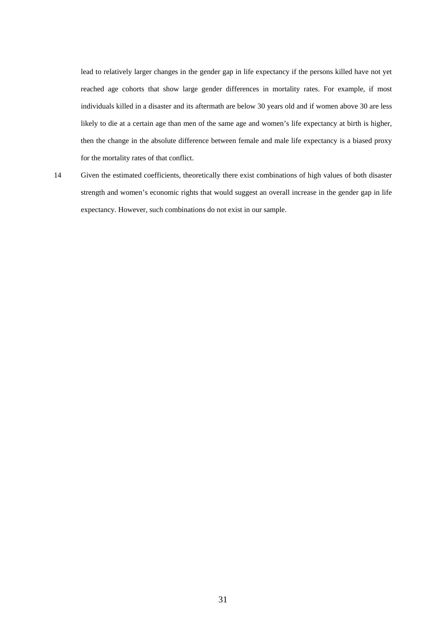lead to relatively larger changes in the gender gap in life expectancy if the persons killed have not yet reached age cohorts that show large gender differences in mortality rates. For example, if most individuals killed in a disaster and its aftermath are below 30 years old and if women above 30 are less likely to die at a certain age than men of the same age and women's life expectancy at birth is higher, then the change in the absolute difference between female and male life expectancy is a biased proxy for the mortality rates of that conflict.

14 Given the estimated coefficients, theoretically there exist combinations of high values of both disaster strength and women's economic rights that would suggest an overall increase in the gender gap in life expectancy. However, such combinations do not exist in our sample.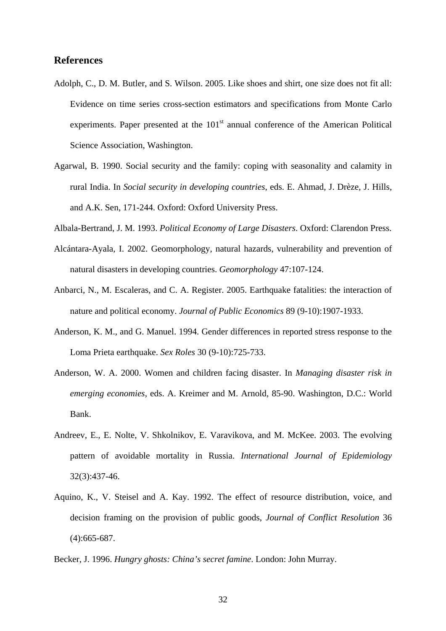#### **References**

- Adolph, C., D. M. Butler, and S. Wilson. 2005. Like shoes and shirt, one size does not fit all: Evidence on time series cross-section estimators and specifications from Monte Carlo experiments. Paper presented at the  $101<sup>st</sup>$  annual conference of the American Political Science Association, Washington.
- Agarwal, B. 1990. Social security and the family: coping with seasonality and calamity in rural India. In *Social security in developing countries*, eds. E. Ahmad, J. Drèze, J. Hills, and A.K. Sen, 171-244. Oxford: Oxford University Press.
- Albala-Bertrand, J. M. 1993. *Political Economy of Large Disasters*. Oxford: Clarendon Press.
- Alcántara-Ayala, I. 2002. Geomorphology, natural hazards, vulnerability and prevention of natural disasters in developing countries. *Geomorphology* 47:107-124.
- Anbarci, N., M. Escaleras, and C. A. Register. 2005. Earthquake fatalities: the interaction of nature and political economy. *Journal of Public Economics* 89 (9-10):1907-1933.
- Anderson, K. M., and G. Manuel. 1994. Gender differences in reported stress response to the Loma Prieta earthquake. *Sex Roles* 30 (9-10):725-733.
- Anderson, W. A. 2000. Women and children facing disaster. In *Managing disaster risk in emerging economies*, eds. A. Kreimer and M. Arnold, 85-90. Washington, D.C.: World Bank.
- Andreev, E., E. Nolte, V. Shkolnikov, E. Varavikova, and M. McKee. 2003. The evolving pattern of avoidable mortality in Russia. *International Journal of Epidemiology* 32(3):437-46.
- Aquino, K., V. Steisel and A. Kay. 1992. The effect of resource distribution, voice, and decision framing on the provision of public goods, *Journal of Conflict Resolution* 36 (4):665-687.
- Becker, J. 1996. *Hungry ghosts: China's secret famine*. London: John Murray.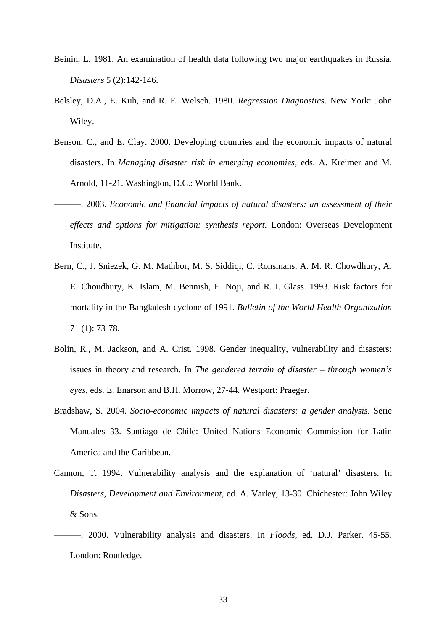- Beinin, L. 1981. An examination of health data following two major earthquakes in Russia. *Disasters* 5 (2):142-146.
- Belsley, D.A., E. Kuh, and R. E. Welsch. 1980. *Regression Diagnostics*. New York: John Wiley.
- Benson, C., and E. Clay. 2000. Developing countries and the economic impacts of natural disasters. In *Managing disaster risk in emerging economies*, eds. A. Kreimer and M. Arnold, 11-21. Washington, D.C.: World Bank.
	- ———. 2003. *Economic and financial impacts of natural disasters: an assessment of their effects and options for mitigation: synthesis report*. London: Overseas Development Institute.
- Bern, C., J. Sniezek, G. M. Mathbor, M. S. Siddiqi, C. Ronsmans, A. M. R. Chowdhury, A. E. Choudhury, K. Islam, M. Bennish, E. Noji, and R. I. Glass. 1993. Risk factors for mortality in the Bangladesh cyclone of 1991. *Bulletin of the World Health Organization* 71 (1): 73-78.
- Bolin, R., M. Jackson, and A. Crist. 1998. Gender inequality, vulnerability and disasters: issues in theory and research. In *The gendered terrain of disaster – through women's eyes*, eds. E. Enarson and B.H. Morrow, 27-44. Westport: Praeger.
- Bradshaw, S. 2004. *Socio-economic impacts of natural disasters: a gender analysis*. Serie Manuales 33. Santiago de Chile: United Nations Economic Commission for Latin America and the Caribbean.
- Cannon, T. 1994. Vulnerability analysis and the explanation of 'natural' disasters. In *Disasters, Development and Environment*, ed. A. Varley, 13-30. Chichester: John Wiley & Sons.
- ———. 2000. Vulnerability analysis and disasters. In *Floods*, ed. D.J. Parker, 45-55. London: Routledge.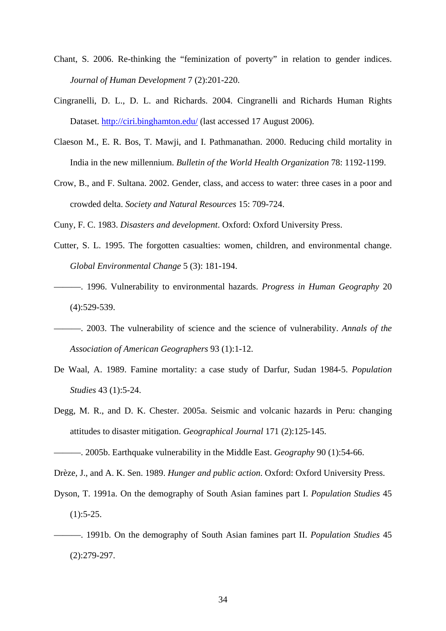- Chant, S. 2006. Re-thinking the "feminization of poverty" in relation to gender indices. *Journal of Human Development* 7 (2):201-220.
- Cingranelli, D. L., D. L. and Richards. 2004. Cingranelli and Richards Human Rights Dataset. [http://ciri.binghamton.edu/](http://www.humanrightsdata.com/) (last accessed 17 August 2006).
- Claeson M., E. R. Bos, T. Mawji, and I. Pathmanathan. 2000. Reducing child mortality in India in the new millennium. *Bulletin of the World Health Organization* 78: 1192-1199.
- Crow, B., and F. Sultana. 2002. Gender, class, and access to water: three cases in a poor and crowded delta. *Society and Natural Resources* 15: 709-724.

Cuny, F. C. 1983. *Disasters and development*. Oxford: Oxford University Press.

- Cutter, S. L. 1995. The forgotten casualties: women, children, and environmental change. *Global Environmental Change* 5 (3): 181-194.
- ———. 1996. Vulnerability to environmental hazards. *Progress in Human Geography* 20 (4):529-539.
- ———. 2003. The vulnerability of science and the science of vulnerability. *Annals of the Association of American Geographers* 93 (1):1-12.
- De Waal, A. 1989. Famine mortality: a case study of Darfur, Sudan 1984-5. *Population Studies* 43 (1):5-24.
- Degg, M. R., and D. K. Chester. 2005a. Seismic and volcanic hazards in Peru: changing attitudes to disaster mitigation. *Geographical Journal* 171 (2):125-145.

———. 2005b. Earthquake vulnerability in the Middle East. *Geography* 90 (1):54-66.

Drèze, J., and A. K. Sen. 1989. *Hunger and public action*. Oxford: Oxford University Press.

- Dyson, T. 1991a. On the demography of South Asian famines part I. *Population Studies* 45  $(1):$ 5-25.
- ———. 1991b. On the demography of South Asian famines part II. *Population Studies* 45 (2):279-297.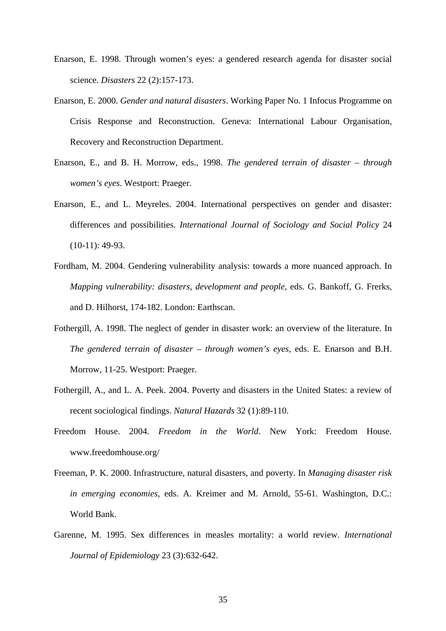- Enarson, E. 1998. Through women's eyes: a gendered research agenda for disaster social science. *Disasters* 22 (2):157-173.
- Enarson, E. 2000. *Gender and natural disasters*. Working Paper No. 1 Infocus Programme on Crisis Response and Reconstruction. Geneva: International Labour Organisation, Recovery and Reconstruction Department.
- Enarson, E., and B. H. Morrow, eds., 1998. *The gendered terrain of disaster through women's eyes*. Westport: Praeger.
- Enarson, E., and L. Meyreles. 2004. International perspectives on gender and disaster: differences and possibilities. *International Journal of Sociology and Social Policy* 24  $(10-11): 49-93.$
- Fordham, M. 2004. Gendering vulnerability analysis: towards a more nuanced approach. In *Mapping vulnerability: disasters, development and people*, eds. G. Bankoff, G. Frerks, and D. Hilhorst, 174-182. London: Earthscan.
- Fothergill, A. 1998. The neglect of gender in disaster work: an overview of the literature. In *The gendered terrain of disaster – through women's eyes*, eds. E. Enarson and B.H. Morrow, 11-25. Westport: Praeger.
- Fothergill, A., and L. A. Peek. 2004. Poverty and disasters in the United States: a review of recent sociological findings. *Natural Hazards* 32 (1):89-110.
- Freedom House. 2004. *Freedom in the World*. New York: Freedom House. www.freedomhouse.org/
- Freeman, P. K. 2000. Infrastructure, natural disasters, and poverty. In *Managing disaster risk in emerging economies*, eds. A. Kreimer and M. Arnold, 55-61. Washington, D.C.: World Bank.
- Garenne, M. 1995. Sex differences in measles mortality: a world review. *International Journal of Epidemiology* 23 (3):632-642.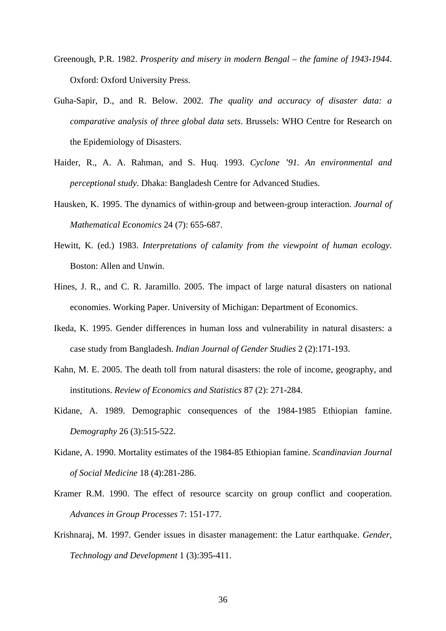- Greenough, P.R. 1982. *Prosperity and misery in modern Bengal the famine of 1943-1944*. Oxford: Oxford University Press.
- Guha-Sapir, D., and R. Below. 2002. *The quality and accuracy of disaster data: a comparative analysis of three global data sets*. Brussels: WHO Centre for Research on the Epidemiology of Disasters.
- Haider, R., A. A. Rahman, and S. Huq. 1993. *Cyclone '91. An environmental and perceptional study*. Dhaka: Bangladesh Centre for Advanced Studies.
- Hausken, K. 1995. The dynamics of within-group and between-group interaction. *Journal of Mathematical Economics* 24 (7): 655-687.
- Hewitt, K. (ed.) 1983. *Interpretations of calamity from the viewpoint of human ecology*. Boston: Allen and Unwin.
- Hines, J. R., and C. R. Jaramillo. 2005. The impact of large natural disasters on national economies. Working Paper. University of Michigan: Department of Economics.
- Ikeda, K. 1995. Gender differences in human loss and vulnerability in natural disasters: a case study from Bangladesh. *Indian Journal of Gender Studies* 2 (2):171-193.
- Kahn, M. E. 2005. The death toll from natural disasters: the role of income, geography, and institutions. *Review of Economics and Statistics* 87 (2): 271-284.
- Kidane, A. 1989. Demographic consequences of the 1984-1985 Ethiopian famine. *Demography* 26 (3):515-522.
- Kidane, A. 1990. Mortality estimates of the 1984-85 Ethiopian famine. *Scandinavian Journal of Social Medicine* 18 (4):281-286.
- Kramer R.M. 1990. The effect of resource scarcity on group conflict and cooperation. *Advances in Group Processes* 7: 151-177.
- Krishnaraj, M. 1997. Gender issues in disaster management: the Latur earthquake. *Gender, Technology and Development* 1 (3):395-411.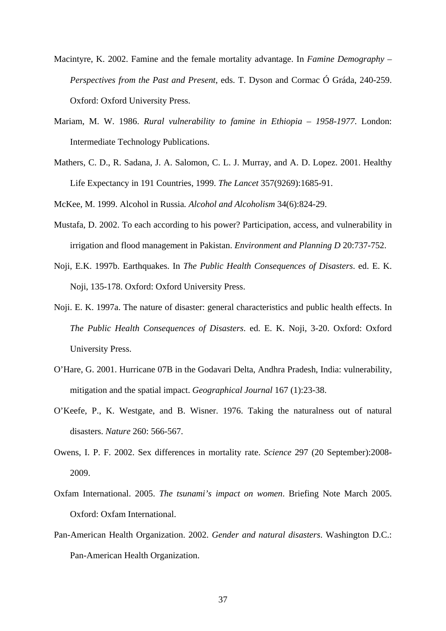- Macintyre, K. 2002. Famine and the female mortality advantage. In *Famine Demography Perspectives from the Past and Present*, eds. T. Dyson and Cormac Ó Gráda, 240-259. Oxford: Oxford University Press.
- Mariam, M. W. 1986. *Rural vulnerability to famine in Ethiopia 1958-1977*. London: Intermediate Technology Publications.
- Mathers, C. D., R. Sadana, J. A. Salomon, C. L. J. Murray, and A. D. Lopez. 2001. Healthy Life Expectancy in 191 Countries, 1999. *The Lancet* 357(9269):1685-91.

McKee, M. 1999. Alcohol in Russia*. Alcohol and Alcoholism* 34(6):824-29.

- Mustafa, D. 2002. To each according to his power? Participation, access, and vulnerability in irrigation and flood management in Pakistan. *Environment and Planning D* 20:737-752.
- Noji, E.K. 1997b. Earthquakes. In *The Public Health Consequences of Disasters*. ed. E. K. Noji, 135-178. Oxford: Oxford University Press.
- Noji. E. K. 1997a. The nature of disaster: general characteristics and public health effects. In *The Public Health Consequences of Disasters*. ed. E. K. Noji, 3-20. Oxford: Oxford University Press.
- O'Hare, G. 2001. Hurricane 07B in the Godavari Delta, Andhra Pradesh, India: vulnerability, mitigation and the spatial impact. *Geographical Journal* 167 (1):23-38.
- O'Keefe, P., K. Westgate, and B. Wisner. 1976. Taking the naturalness out of natural disasters. *Nature* 260: 566-567.
- Owens, I. P. F. 2002. Sex differences in mortality rate. *Science* 297 (20 September):2008- 2009.
- Oxfam International. 2005. *The tsunami's impact on women*. Briefing Note March 2005. Oxford: Oxfam International.
- Pan-American Health Organization. 2002. *Gender and natural disasters*. Washington D.C.: Pan-American Health Organization.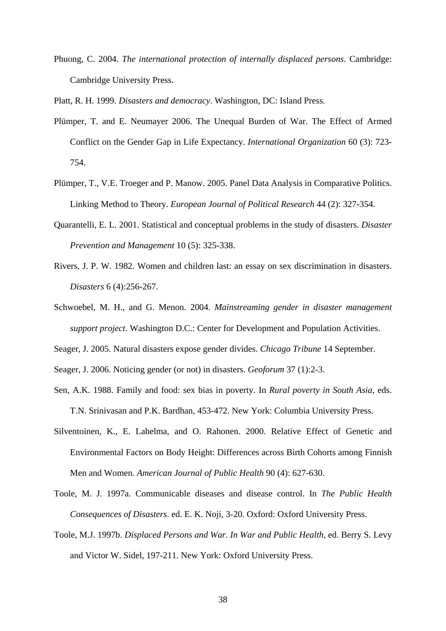Phuong, C. 2004. *The international protection of internally displaced persons*. Cambridge: Cambridge University Press.

Platt, R. H. 1999. *Disasters and democracy*. Washington, DC: Island Press.

- Plümper, T. and E. Neumayer 2006. The Unequal Burden of War. The Effect of Armed Conflict on the Gender Gap in Life Expectancy. *International Organization* 60 (3): 723- 754.
- Plümper, T., V.E. Troeger and P. Manow. 2005. Panel Data Analysis in Comparative Politics. Linking Method to Theory. *European Journal of Political Research* 44 (2): 327-354.
- Quarantelli, E. L. 2001. Statistical and conceptual problems in the study of disasters. *Disaster Prevention and Management* 10 (5): 325-338.
- Rivers, J. P. W. 1982. Women and children last: an essay on sex discrimination in disasters. *Disasters* 6 (4):256-267.
- Schwoebel, M. H., and G. Menon. 2004. *Mainstreaming gender in disaster management support project*. Washington D.C.: Center for Development and Population Activities.
- Seager, J. 2005. Natural disasters expose gender divides. *Chicago Tribune* 14 September.
- Seager, J. 2006. Noticing gender (or not) in disasters. *Geoforum* 37 (1):2-3.
- Sen, A.K. 1988. Family and food: sex bias in poverty. In *Rural poverty in South Asia*, eds. T.N. Srinivasan and P.K. Bardhan, 453-472. New York: Columbia University Press.
- Silventoinen, K., E. Lahelma, and O. Rahonen. 2000. Relative Effect of Genetic and Environmental Factors on Body Height: Differences across Birth Cohorts among Finnish Men and Women. *American Journal of Public Health* 90 (4): 627-630.
- Toole, M. J. 1997a. Communicable diseases and disease control. In *The Public Health Consequences of Disasters*. ed. E. K. Noji, 3-20. Oxford: Oxford University Press.
- Toole, M.J. 1997b. *Displaced Persons and War. In War and Public Health,* ed. Berry S. Levy and Victor W. Sidel, 197-211. New York: Oxford University Press.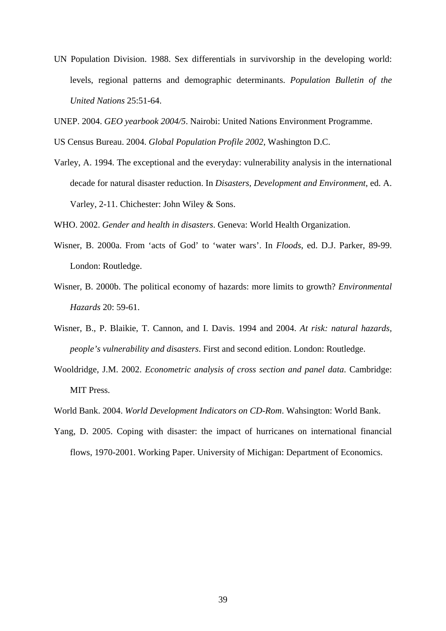- UN Population Division. 1988. Sex differentials in survivorship in the developing world: levels, regional patterns and demographic determinants. *Population Bulletin of the United Nations* 25:51-64.
- UNEP. 2004. *GEO yearbook 2004/5*. Nairobi: United Nations Environment Programme.
- US Census Bureau. 2004. *Global Population Profile 2002*, Washington D.C.
- Varley, A. 1994. The exceptional and the everyday: vulnerability analysis in the international decade for natural disaster reduction. In *Disasters, Development and Environment*, ed. A. Varley, 2-11. Chichester: John Wiley & Sons.

WHO. 2002. *Gender and health in disasters*. Geneva: World Health Organization.

- Wisner, B. 2000a. From 'acts of God' to 'water wars'. In *Floods*, ed. D.J. Parker, 89-99. London: Routledge.
- Wisner, B. 2000b. The political economy of hazards: more limits to growth? *Environmental Hazards* 20: 59-61.
- Wisner, B., P. Blaikie, T. Cannon, and I. Davis. 1994 and 2004. *At risk: natural hazards, people's vulnerability and disasters*. First and second edition. London: Routledge.
- Wooldridge, J.M. 2002. *Econometric analysis of cross section and panel data*. Cambridge: MIT Press.
- World Bank. 2004. *World Development Indicators on CD-Rom*. Wahsington: World Bank.
- Yang, D. 2005. Coping with disaster: the impact of hurricanes on international financial flows, 1970-2001. Working Paper. University of Michigan: Department of Economics.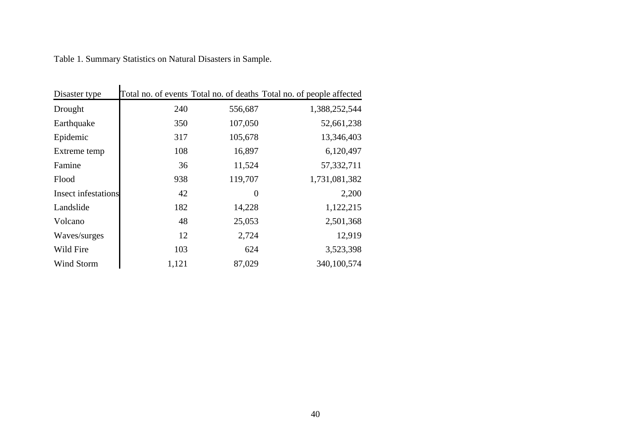| Table 1. Summary Statistics on Natural Disasters in Sample. |  |  |
|-------------------------------------------------------------|--|--|
|                                                             |  |  |

| Disaster type       |       |          | Total no. of events Total no. of deaths Total no. of people affected |
|---------------------|-------|----------|----------------------------------------------------------------------|
| Drought             | 240   | 556,687  | 1,388,252,544                                                        |
| Earthquake          | 350   | 107,050  | 52,661,238                                                           |
| Epidemic            | 317   | 105,678  | 13,346,403                                                           |
| Extreme temp        | 108   | 16,897   | 6,120,497                                                            |
| Famine              | 36    | 11,524   | 57, 332, 711                                                         |
| Flood               | 938   | 119,707  | 1,731,081,382                                                        |
| Insect infestations | 42    | $\theta$ | 2,200                                                                |
| Landslide           | 182   | 14,228   | 1,122,215                                                            |
| Volcano             | 48    | 25,053   | 2,501,368                                                            |
| Waves/surges        | 12    | 2,724    | 12,919                                                               |
| Wild Fire           | 103   | 624      | 3,523,398                                                            |
| Wind Storm          | 1,121 | 87,029   | 340,100,574                                                          |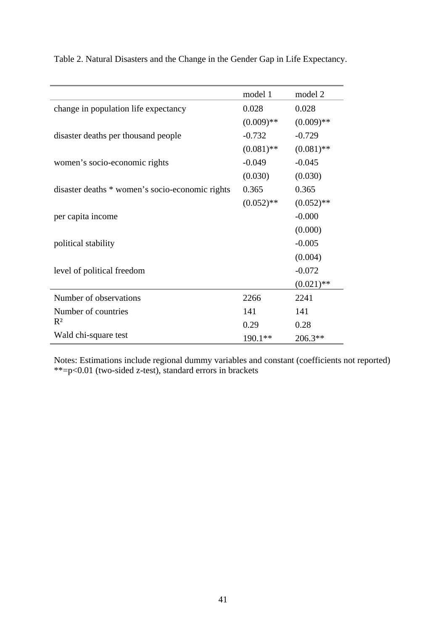|                                                 | model 1      | model 2      |
|-------------------------------------------------|--------------|--------------|
| change in population life expectancy            | 0.028        | 0.028        |
|                                                 | $(0.009)$ ** | $(0.009)$ ** |
| disaster deaths per thousand people             | $-0.732$     | $-0.729$     |
|                                                 | $(0.081)$ ** | $(0.081)$ ** |
| women's socio-economic rights                   | $-0.049$     | $-0.045$     |
|                                                 | (0.030)      | (0.030)      |
| disaster deaths * women's socio-economic rights | 0.365        | 0.365        |
|                                                 | $(0.052)$ ** | $(0.052)$ ** |
| per capita income                               |              | $-0.000$     |
|                                                 |              | (0.000)      |
| political stability                             |              | $-0.005$     |
|                                                 |              | (0.004)      |
| level of political freedom                      |              | $-0.072$     |
|                                                 |              | $(0.021)$ ** |
| Number of observations                          | 2266         | 2241         |
| Number of countries                             | 141          | 141          |
| $R^2$                                           | 0.29         | 0.28         |
| Wald chi-square test                            | $190.1**$    | $206.3**$    |
|                                                 |              |              |

Table 2. Natural Disasters and the Change in the Gender Gap in Life Expectancy.

Notes: Estimations include regional dummy variables and constant (coefficients not reported) \*\*=p<0.01 (two-sided z-test), standard errors in brackets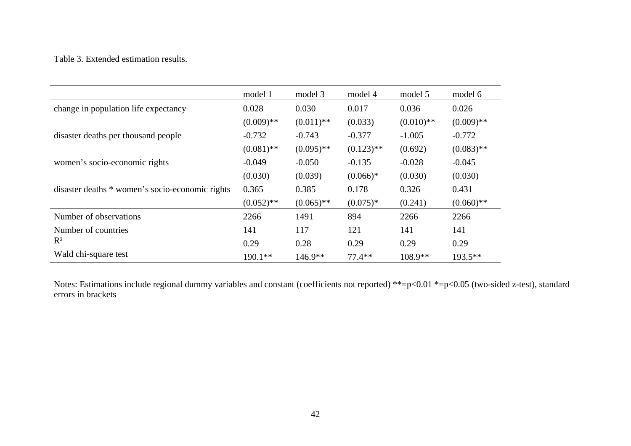#### Table 3. Extended estimation results.

|                                                 | model 1      | model 3      | model 4      | model 5      | model 6      |
|-------------------------------------------------|--------------|--------------|--------------|--------------|--------------|
| change in population life expectancy            | 0.028        | 0.030        | 0.017        | 0.036        | 0.026        |
|                                                 | $(0.009)$ ** | $(0.011)$ ** | (0.033)      | $(0.010)$ ** | $(0.009)$ ** |
| disaster deaths per thousand people             | $-0.732$     | $-0.743$     | $-0.377$     | $-1.005$     | $-0.772$     |
|                                                 | $(0.081)$ ** | $(0.095)$ ** | $(0.123)$ ** | (0.692)      | $(0.083)$ ** |
| women's socio-economic rights                   | $-0.049$     | $-0.050$     | $-0.135$     | $-0.028$     | $-0.045$     |
|                                                 | (0.030)      | (0.039)      | $(0.066)*$   | (0.030)      | (0.030)      |
| disaster deaths * women's socio-economic rights | 0.365        | 0.385        | 0.178        | 0.326        | 0.431        |
|                                                 | $(0.052)$ ** | $(0.065)$ ** | $(0.075)*$   | (0.241)      | $(0.060)$ ** |
| Number of observations                          | 2266         | 1491         | 894          | 2266         | 2266         |
| Number of countries                             | 141          | 117          | 121          | 141          | 141          |
| $R^2$                                           | 0.29         | 0.28         | 0.29         | 0.29         | 0.29         |
| Wald chi-square test                            | $190.1**$    | $146.9**$    | $77.4**$     | $108.9**$    | $193.5**$    |

Notes: Estimations include regional dummy variables and constant (coefficients not reported) \*\*=p<0.01 \*=p<0.05 (two-sided z-test), standard errors in brackets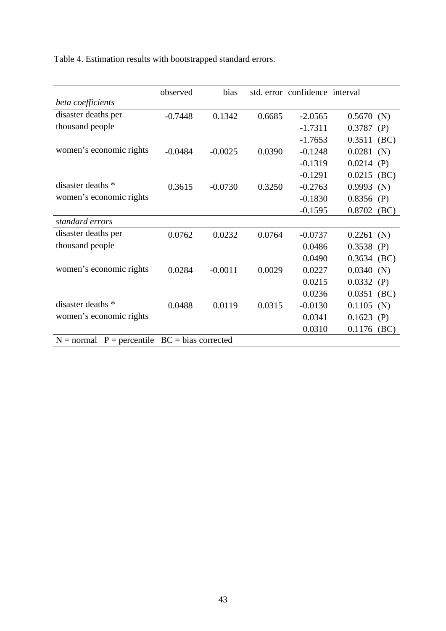Table 4. Estimation results with bootstrapped standard errors.

|                                                 | observed  | bias      |        | std. error confidence interval |               |      |
|-------------------------------------------------|-----------|-----------|--------|--------------------------------|---------------|------|
| beta coefficients                               |           |           |        |                                |               |      |
| disaster deaths per                             | $-0.7448$ | 0.1342    | 0.6685 | $-2.0565$                      | $0.5670$ (N)  |      |
| thousand people                                 |           |           |        | $-1.7311$                      | 0.3787<br>(P) |      |
|                                                 |           |           |        | $-1.7653$                      | 0.3511        | (BC) |
| women's economic rights                         | $-0.0484$ | $-0.0025$ | 0.0390 | $-0.1248$                      | $0.0281$ (N)  |      |
|                                                 |           |           |        | $-0.1319$                      | 0.0214<br>(P) |      |
|                                                 |           |           |        | $-0.1291$                      | $0.0215$ (BC) |      |
| disaster deaths *                               | 0.3615    | $-0.0730$ | 0.3250 | $-0.2763$                      | 0.9993<br>(N) |      |
| women's economic rights                         |           |           |        | $-0.1830$                      | 0.8356<br>(P) |      |
|                                                 |           |           |        | $-0.1595$                      | 0.8702        | (BC) |
| standard errors                                 |           |           |        |                                |               |      |
| disaster deaths per                             | 0.0762    | 0.0232    | 0.0764 | $-0.0737$                      | $0.2261$ (N)  |      |
| thousand people                                 |           |           |        | 0.0486                         | 0.3538<br>(P) |      |
|                                                 |           |           |        | 0.0490                         | $0.3634$ (BC) |      |
| women's economic rights                         | 0.0284    | $-0.0011$ | 0.0029 | 0.0227                         | 0.0340<br>(N) |      |
|                                                 |           |           |        | 0.0215                         | 0.0332<br>(P) |      |
|                                                 |           |           |        | 0.0236                         | 0.0351        | (BC) |
| disaster deaths *                               | 0.0488    | 0.0119    | 0.0315 | $-0.0130$                      | 0.1105<br>(N) |      |
| women's economic rights                         |           |           |        | 0.0341                         | $0.1623$ (P)  |      |
|                                                 |           |           |        | 0.0310                         | 0.1176        | (BC) |
| $N = normal$ P = percentile BC = bias corrected |           |           |        |                                |               |      |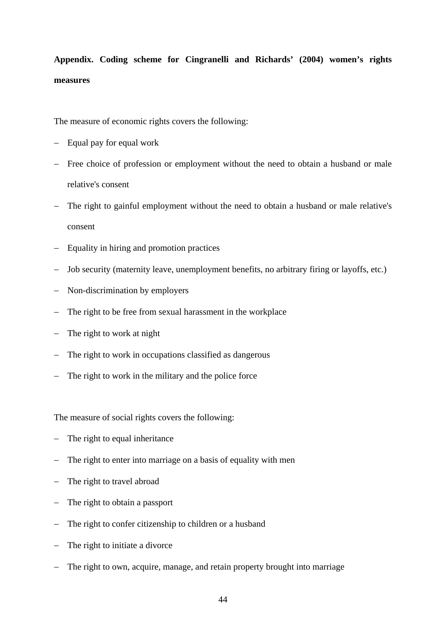**Appendix. Coding scheme for Cingranelli and Richards' (2004) women's rights measures** 

The measure of economic rights covers the following:

- − Equal pay for equal work
- − Free choice of profession or employment without the need to obtain a husband or male relative's consent
- The right to gainful employment without the need to obtain a husband or male relative's consent
- − Equality in hiring and promotion practices
- − Job security (maternity leave, unemployment benefits, no arbitrary firing or layoffs, etc.)
- − Non-discrimination by employers
- − The right to be free from sexual harassment in the workplace
- − The right to work at night
- − The right to work in occupations classified as dangerous
- − The right to work in the military and the police force

The measure of social rights covers the following:

- − The right to equal inheritance
- − The right to enter into marriage on a basis of equality with men
- − The right to travel abroad
- − The right to obtain a passport
- − The right to confer citizenship to children or a husband
- − The right to initiate a divorce
- − The right to own, acquire, manage, and retain property brought into marriage